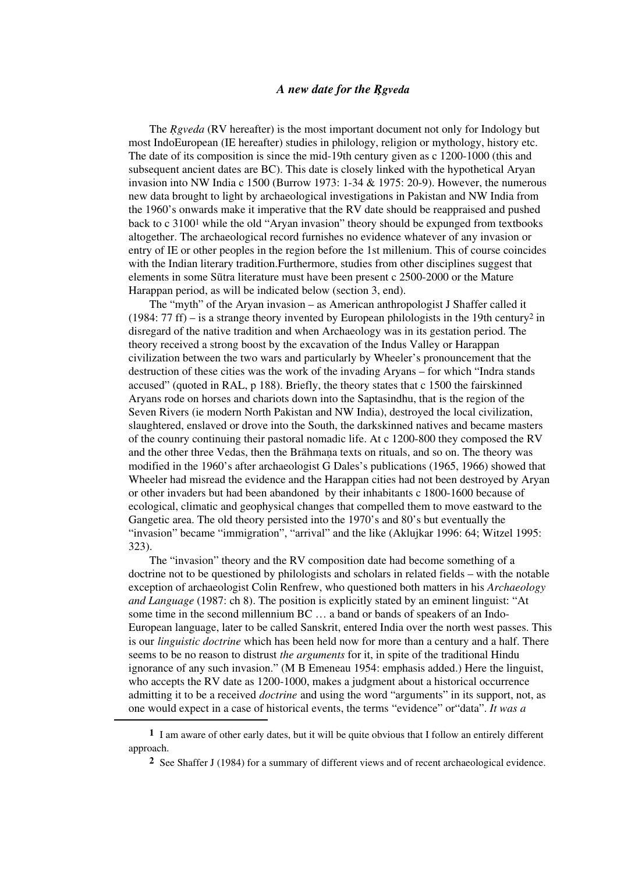### *A new date for the R*®*gveda*

The *Rgveda* (RV hereafter) is the most important document not only for Indology but most IndoEuropean (IE hereafter) studies in philology, religion or mythology, history etc. The date of its composition is since the mid-19th century given as c 1200-1000 (this and subsequent ancient dates are BC). This date is closely linked with the hypothetical Aryan invasion into NW India c 1500 (Burrow 1973: 1-34 & 1975: 20-9). However, the numerous new data brought to light by archaeological investigations in Pakistan and NW India from the 1960's onwards make it imperative that the RV date should be reappraised and pushed back to c 31001 while the old "Aryan invasion" theory should be expunged from textbooks altogether. The archaeological record furnishes no evidence whatever of any invasion or entry of IE or other peoples in the region before the 1st millenium. This of course coincides with the Indian literary tradition.Furthermore, studies from other disciplines suggest that elements in some Sūtra literature must have been present c 2500-2000 or the Mature Harappan period, as will be indicated below (section 3, end).

The "myth" of the Aryan invasion – as American anthropologist J Shaffer called it (1984:  $77$  ff) – is a strange theory invented by European philologists in the 19th century<sup>2</sup> in disregard of the native tradition and when Archaeology was in its gestation period. The theory received a strong boost by the excavation of the Indus Valley or Harappan civilization between the two wars and particularly by Wheeler's pronouncement that the destruction of these cities was the work of the invading Aryans – for which "Indra stands accused" (quoted in RAL, p 188). Briefly, the theory states that c 1500 the fairskinned Aryans rode on horses and chariots down into the Saptasindhu, that is the region of the Seven Rivers (ie modern North Pakistan and NW India), destroyed the local civilization, slaughtered, enslaved or drove into the South, the darkskinned natives and became masters of the counry continuing their pastoral nomadic life. At c 1200-800 they composed the RV and the other three Vedas, then the Brahmana texts on rituals, and so on. The theory was modified in the 1960's after archaeologist G Dales's publications (1965, 1966) showed that Wheeler had misread the evidence and the Harappan cities had not been destroyed by Aryan or other invaders but had been abandoned by their inhabitants c 1800-1600 because of ecological, climatic and geophysical changes that compelled them to move eastward to the Gangetic area. The old theory persisted into the 1970's and 80's but eventually the "invasion" became "immigration", "arrival" and the like (Aklujkar 1996: 64; Witzel 1995: 323).

The "invasion" theory and the RV composition date had become something of a doctrine not to be questioned by philologists and scholars in related fields – with the notable exception of archaeologist Colin Renfrew, who questioned both matters in his *Archaeology and Language* (1987: ch 8). The position is explicitly stated by an eminent linguist: "At some time in the second millennium BC … a band or bands of speakers of an Indo-European language, later to be called Sanskrit, entered India over the north west passes. This is our *linguistic doctrine* which has been held now for more than a century and a half. There seems to be no reason to distrust *the arguments* for it, in spite of the traditional Hindu ignorance of any such invasion." (M B Emeneau 1954: emphasis added.) Here the linguist, who accepts the RV date as 1200-1000, makes a judgment about a historical occurrence admitting it to be a received *doctrine* and using the word "arguments" in its support, not, as one would expect in a case of historical events, the terms "evidence" or"data". *It was a* 

**<sup>1</sup>** I am aware of other early dates, but it will be quite obvious that I follow an entirely different approach.

**<sup>2</sup>** See Shaffer J (1984) for a summary of different views and of recent archaeological evidence.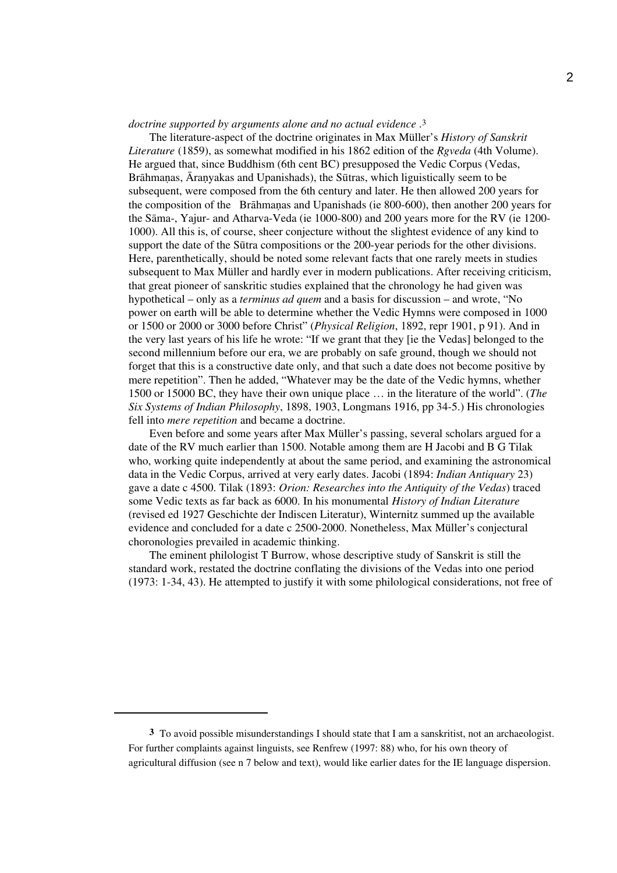### *doctrine supported by arguments alone and no actual evidence* .3

The literature-aspect of the doctrine originates in Max Müller's *History of Sanskrit Literature* (1859), as somewhat modified in his 1862 edition of the *R*®*gveda* (4th Volume). He argued that, since Buddhism (6th cent BC) presupposed the Vedic Corpus (Vedas, Brāhmanas, Āranvakas and Upanishads), the Sūtras, which liguistically seem to be subsequent, were composed from the 6th century and later. He then allowed 200 years for the composition of the Brahmanas and Upanishads (ie 800-600), then another 200 years for the Sāma-, Yajur- and Atharva-Veda (ie 1000-800) and 200 years more for the RV (ie 1200-1000). All this is, of course, sheer conjecture without the slightest evidence of any kind to support the date of the Sūtra compositions or the 200-year periods for the other divisions. Here, parenthetically, should be noted some relevant facts that one rarely meets in studies subsequent to Max Müller and hardly ever in modern publications. After receiving criticism, that great pioneer of sanskritic studies explained that the chronology he had given was hypothetical – only as a *terminus ad quem* and a basis for discussion – and wrote, "No power on earth will be able to determine whether the Vedic Hymns were composed in 1000 or 1500 or 2000 or 3000 before Christ" (*Physical Religion*, 1892, repr 1901, p 91). And in the very last years of his life he wrote: "If we grant that they [ie the Vedas] belonged to the second millennium before our era, we are probably on safe ground, though we should not forget that this is a constructive date only, and that such a date does not become positive by mere repetition". Then he added, "Whatever may be the date of the Vedic hymns, whether 1500 or 15000 BC, they have their own unique place … in the literature of the world". (*The Six Systems of Indian Philosophy*, 1898, 1903, Longmans 1916, pp 34-5.) His chronologies fell into *mere repetition* and became a doctrine.

Even before and some years after Max Müller's passing, several scholars argued for a date of the RV much earlier than 1500. Notable among them are H Jacobi and B G Tilak who, working quite independently at about the same period, and examining the astronomical data in the Vedic Corpus, arrived at very early dates. Jacobi (1894: *Indian Antiquary* 23) gave a date c 4500. Tilak (1893: *Orion: Researches into the Antiquity of the Vedas*) traced some Vedic texts as far back as 6000. In his monumental *History of Indian Literature*  (revised ed 1927 Geschichte der Indiscen Literatur), Winternitz summed up the available evidence and concluded for a date c 2500-2000. Nonetheless, Max Müller's conjectural choronologies prevailed in academic thinking.

The eminent philologist T Burrow, whose descriptive study of Sanskrit is still the standard work, restated the doctrine conflating the divisions of the Vedas into one period (1973: 1-34, 43). He attempted to justify it with some philological considerations, not free of

**<sup>3</sup>** To avoid possible misunderstandings I should state that I am a sanskritist, not an archaeologist. For further complaints against linguists, see Renfrew (1997: 88) who, for his own theory of agricultural diffusion (see n 7 below and text), would like earlier dates for the IE language dispersion.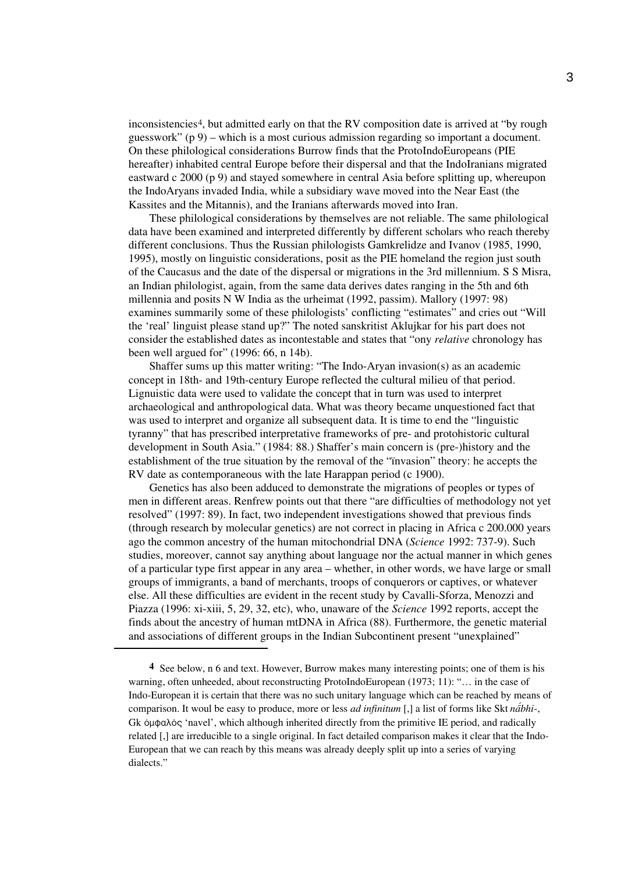inconsistencies4, but admitted early on that the RV composition date is arrived at "by rough guesswork" (p 9) – which is a most curious admission regarding so important a document. On these philological considerations Burrow finds that the ProtoIndoEuropeans (PIE hereafter) inhabited central Europe before their dispersal and that the IndoIranians migrated eastward c 2000 (p 9) and stayed somewhere in central Asia before splitting up, whereupon the IndoAryans invaded India, while a subsidiary wave moved into the Near East (the Kassites and the Mitannis), and the Iranians afterwards moved into Iran.

These philological considerations by themselves are not reliable. The same philological data have been examined and interpreted differently by different scholars who reach thereby different conclusions. Thus the Russian philologists Gamkrelidze and Ivanov (1985, 1990, 1995), mostly on linguistic considerations, posit as the PIE homeland the region just south of the Caucasus and the date of the dispersal or migrations in the 3rd millennium. S S Misra, an Indian philologist, again, from the same data derives dates ranging in the 5th and 6th millennia and posits N W India as the urheimat (1992, passim). Mallory (1997: 98) examines summarily some of these philologists' conflicting "estimates" and cries out "Will the 'real' linguist please stand up?" The noted sanskritist Aklujkar for his part does not consider the established dates as incontestable and states that "ony *relative* chronology has been well argued for" (1996: 66, n 14b).

Shaffer sums up this matter writing: "The Indo-Aryan invasion(s) as an academic concept in 18th- and 19th-century Europe reflected the cultural milieu of that period. Lignuistic data were used to validate the concept that in turn was used to interpret archaeological and anthropological data. What was theory became unquestioned fact that was used to interpret and organize all subsequent data. It is time to end the "linguistic tyranny" that has prescribed interpretative frameworks of pre- and protohistoric cultural development in South Asia." (1984: 88.) Shaffer's main concern is (pre-)history and the establishment of the true situation by the removal of the "ïnvasion" theory: he accepts the RV date as contemporaneous with the late Harappan period (c 1900).

Genetics has also been adduced to demonstrate the migrations of peoples or types of men in different areas. Renfrew points out that there "are difficulties of methodology not yet resolved" (1997: 89). In fact, two independent investigations showed that previous finds (through research by molecular genetics) are not correct in placing in Africa c 200.000 years ago the common ancestry of the human mitochondrial DNA (*Science* 1992: 737-9). Such studies, moreover, cannot say anything about language nor the actual manner in which genes of a particular type first appear in any area – whether, in other words, we have large or small groups of immigrants, a band of merchants, troops of conquerors or captives, or whatever else. All these difficulties are evident in the recent study by Cavalli-Sforza, Menozzi and Piazza (1996: xi-xiii, 5, 29, 32, etc), who, unaware of the *Science* 1992 reports, accept the finds about the ancestry of human mtDNA in Africa (88). Furthermore, the genetic material and associations of different groups in the Indian Subcontinent present "unexplained"

**<sup>4</sup>** See below, n 6 and text. However, Burrow makes many interesting points; one of them is his warning, often unheeded, about reconstructing ProtoIndoEuropean (1973; 11): "... in the case of Indo-European it is certain that there was no such unitary language which can be reached by means of comparison. It woul be easy to produce, more or less *ad infinitum* [,] a list of forms like Skt *nabhi*-, Gk ὀμφαλός 'navel', which although inherited directly from the primitive IE period, and radically related [,] are irreducible to a single original. In fact detailed comparison makes it clear that the Indo-European that we can reach by this means was already deeply split up into a series of varying dialects."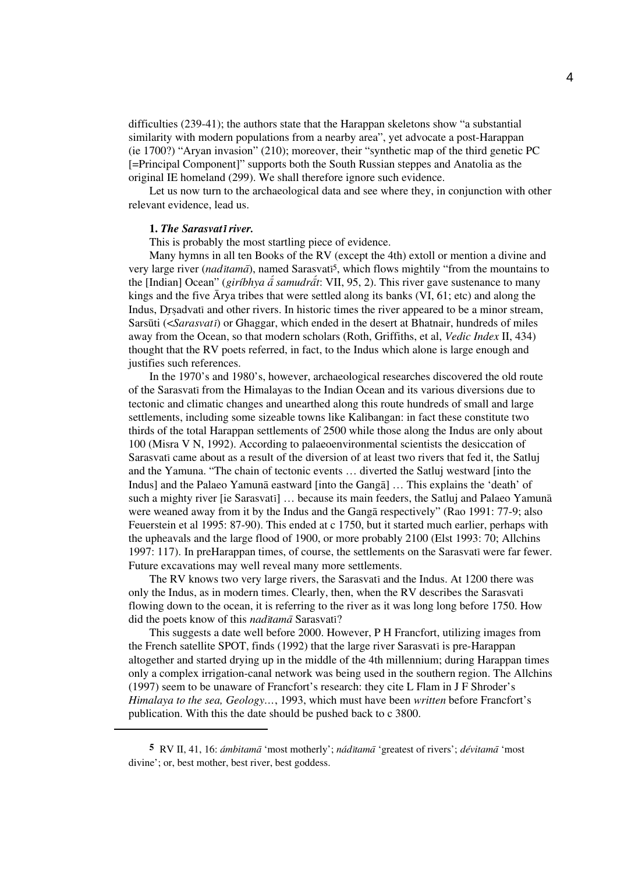difficulties (239-41); the authors state that the Harappan skeletons show "a substantial similarity with modern populations from a nearby area", yet advocate a post-Harappan (ie 1700?) "Aryan invasion" (210); moreover, their "synthetic map of the third genetic PC [=Principal Component]" supports both the South Russian steppes and Anatolia as the original IE homeland (299). We shall therefore ignore such evidence.

Let us now turn to the archaeological data and see where they, in conjunction with other relevant evidence, lead us.

#### **1.** *The Sarasvat*i *river.*

This is probably the most startling piece of evidence.

Many hymns in all ten Books of the RV (except the 4th) extoll or mention a divine and very large river (*nad*i*tama*a), named Sarasvati5, which flows mightily "from the mountains to the [Indian] Ocean" (*giríbhya a<sup>{</sup> samudrat}*: VII, 95, 2). This river gave sustenance to many kings and the five  $\bar{A}$ rya tribes that were settled along its banks (VI, 61; etc) and along the Indus, Drsadvati and other rivers. In historic times the river appeared to be a minor stream, Sarsūti (<*Sarasvati*) or Ghaggar, which ended in the desert at Bhatnair, hundreds of miles away from the Ocean, so that modern scholars (Roth, Griffiths, et al, *Vedic Index* II, 434) thought that the RV poets referred, in fact, to the Indus which alone is large enough and justifies such references.

In the 1970's and 1980's, however, archaeological researches discovered the old route of the Sarasvati from the Himalayas to the Indian Ocean and its various diversions due to tectonic and climatic changes and unearthed along this route hundreds of small and large settlements, including some sizeable towns like Kalibangan: in fact these constitute two thirds of the total Harappan settlements of 2500 while those along the Indus are only about 100 (Misra V N, 1992). According to palaeoenvironmental scientists the desiccation of Sarasvati came about as a result of the diversion of at least two rivers that fed it, the Satluj and the Yamuna. "The chain of tectonic events … diverted the Satluj westward [into the Indus] and the Palaeo Yamuna eastward [into the Ganga] ... This explains the 'death' of such a mighty river [ie Sarasvatī] ... because its main feeders, the Satluj and Palaeo Yamuna were weaned away from it by the Indus and the Ganga respectively" (Rao 1991: 77-9; also Feuerstein et al 1995: 87-90). This ended at c 1750, but it started much earlier, perhaps with the upheavals and the large flood of 1900, or more probably 2100 (Elst 1993: 70; Allchins 1997: 117). In preHarappan times, of course, the settlements on the Sarasvati were far fewer. Future excavations may well reveal many more settlements.

The RV knows two very large rivers, the Sarasvati and the Indus. At 1200 there was only the Indus, as in modern times. Clearly, then, when the RV describes the Sarasvati flowing down to the ocean, it is referring to the river as it was long long before 1750. How did the poets know of this *nad*i*tama*a Sarasvati?

This suggests a date well before 2000. However, P H Francfort, utilizing images from the French satellite SPOT, finds (1992) that the large river Sarasvati is pre-Harappan altogether and started drying up in the middle of the 4th millennium; during Harappan times only a complex irrigation-canal network was being used in the southern region. The Allchins (1997) seem to be unaware of Francfort's research: they cite L Flam in J F Shroder's *Himalaya to the sea, Geology…*, 1993, which must have been *written* before Francfort's publication. With this the date should be pushed back to c 3800.

**<sup>5</sup>** RV II, 41, 16: *ámbitama* 'most motherly'; *nádītama* 'greatest of rivers'; *dévitama* 'most divine'; or, best mother, best river, best goddess.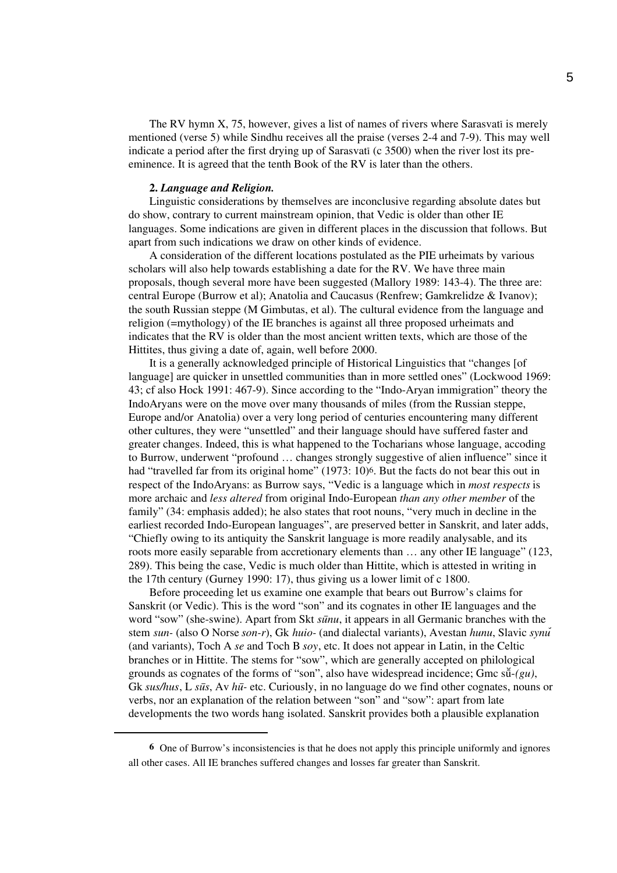The RV hymn X, 75, however, gives a list of names of rivers where Sarasvati is merely mentioned (verse 5) while Sindhu receives all the praise (verses 2-4 and 7-9). This may well indicate a period after the first drying up of Sarasvati (c 3500) when the river lost its preeminence. It is agreed that the tenth Book of the RV is later than the others.

### **2.** *Language and Religion.*

Linguistic considerations by themselves are inconclusive regarding absolute dates but do show, contrary to current mainstream opinion, that Vedic is older than other IE languages. Some indications are given in different places in the discussion that follows. But apart from such indications we draw on other kinds of evidence.

A consideration of the different locations postulated as the PIE urheimats by various scholars will also help towards establishing a date for the RV. We have three main proposals, though several more have been suggested (Mallory 1989: 143-4). The three are: central Europe (Burrow et al); Anatolia and Caucasus (Renfrew; Gamkrelidze & Ivanov); the south Russian steppe (M Gimbutas, et al). The cultural evidence from the language and religion (=mythology) of the IE branches is against all three proposed urheimats and indicates that the RV is older than the most ancient written texts, which are those of the Hittites, thus giving a date of, again, well before 2000.

It is a generally acknowledged principle of Historical Linguistics that "changes [of language] are quicker in unsettled communities than in more settled ones" (Lockwood 1969: 43; cf also Hock 1991: 467-9). Since according to the "Indo-Aryan immigration" theory the IndoAryans were on the move over many thousands of miles (from the Russian steppe, Europe and/or Anatolia) over a very long period of centuries encountering many different other cultures, they were "unsettled" and their language should have suffered faster and greater changes. Indeed, this is what happened to the Tocharians whose language, accoding to Burrow, underwent "profound … changes strongly suggestive of alien influence" since it had "travelled far from its original home" (1973: 10)<sup>6</sup>. But the facts do not bear this out in respect of the IndoAryans: as Burrow says, "Vedic is a language which in *most respects* is more archaic and *less altered* from original Indo-European *than any other member* of the family" (34: emphasis added); he also states that root nouns, "very much in decline in the earliest recorded Indo-European languages", are preserved better in Sanskrit, and later adds, "Chiefly owing to its antiquity the Sanskrit language is more readily analysable, and its roots more easily separable from accretionary elements than … any other IE language" (123, 289). This being the case, Vedic is much older than Hittite, which is attested in writing in the 17th century (Gurney 1990: 17), thus giving us a lower limit of c 1800.

Before proceeding let us examine one example that bears out Burrow's claims for Sanskrit (or Vedic). This is the word "son" and its cognates in other IE languages and the word "sow" (she-swine). Apart from Skt  $s\bar{u}nu$ , it appears in all Germanic branches with the stem *sun-* (also O Norse *son-r*), Gk *huio-* (and dialectal variants), Avestan *hunu*, Slavic *synu*› (and variants), Toch A *se* and Toch B *soy*, etc. It does not appear in Latin, in the Celtic branches or in Hittite. The stems for "sow", which are generally accepted on philological grounds as cognates of the forms of "son", also have widespread incidence; Gmc  $s\bar{u}$ -*(gu)*, Gk *sus/hus*, L *sūs*, Av *hū*- etc. Curiously, in no language do we find other cognates, nouns or verbs, nor an explanation of the relation between "son" and "sow": apart from late developments the two words hang isolated. Sanskrit provides both a plausible explanation

**<sup>6</sup>** One of Burrow's inconsistencies is that he does not apply this principle uniformly and ignores all other cases. All IE branches suffered changes and losses far greater than Sanskrit.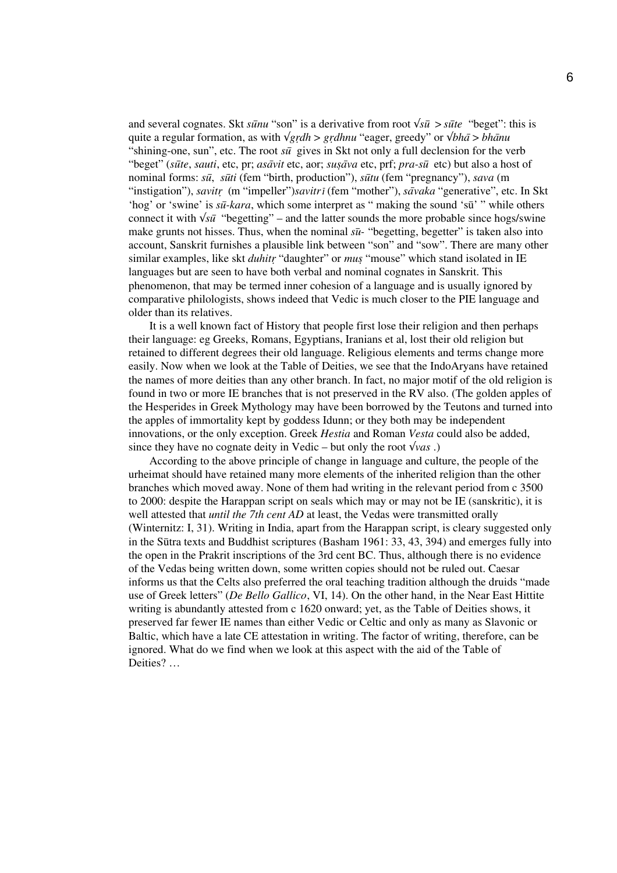and several cognates. Skt  $s\bar{u}nu$  "son" is a derivative from root  $\sqrt{s\bar{u}} > s\bar{u}te$  "beget": this is quite a regular formation, as with  $\sqrt{grdh} > \gamma g r dhnu$  "eager, greedy" or  $\sqrt{bh\bar{a}} > bh\bar{a}nu$ "shining-one, sun", etc. The root  $s\bar{u}$  gives in Skt not only a full declension for the verb "beget" (*sūte*, *sauti*, etc, pr; *asāvit* etc, aor; *susāva* etc, prf; *pra-sū* etc) but also a host of nominal forms: *su*u, *su*u*ti* (fem "birth, production"), *su*u*tu* (fem "pregnancy"), *sava* (m "instigation"), *savitr* (m "impeller")*savitri* (fem "mother"), *sāvaka* "generative", etc. In Skt 'hog' or 'swine' is *sū-kara*, which some interpret as " making the sound 'sū' " while others connect it with  $\sqrt{s\bar{u}}$  "begetting" – and the latter sounds the more probable since hogs/swine make grunts not hisses. Thus, when the nominal  $s\bar{u}$ - "begetting, begetter" is taken also into account, Sanskrit furnishes a plausible link between "son" and "sow". There are many other similar examples, like skt *duhitr* "daughter" or *mus* "mouse" which stand isolated in IE languages but are seen to have both verbal and nominal cognates in Sanskrit. This phenomenon, that may be termed inner cohesion of a language and is usually ignored by comparative philologists, shows indeed that Vedic is much closer to the PIE language and older than its relatives.

It is a well known fact of History that people first lose their religion and then perhaps their language: eg Greeks, Romans, Egyptians, Iranians et al, lost their old religion but retained to different degrees their old language. Religious elements and terms change more easily. Now when we look at the Table of Deities, we see that the IndoAryans have retained the names of more deities than any other branch. In fact, no major motif of the old religion is found in two or more IE branches that is not preserved in the RV also. (The golden apples of the Hesperides in Greek Mythology may have been borrowed by the Teutons and turned into the apples of immortality kept by goddess Idunn; or they both may be independent innovations, or the only exception. Greek *Hestia* and Roman *Vesta* could also be added, since they have no cognate deity in Vedic – but only the root  $\sqrt{vas}$ .)

According to the above principle of change in language and culture, the people of the urheimat should have retained many more elements of the inherited religion than the other branches which moved away. None of them had writing in the relevant period from c 3500 to 2000: despite the Harappan script on seals which may or may not be IE (sanskritic), it is well attested that *until the 7th cent AD* at least, the Vedas were transmitted orally (Winternitz: I, 31). Writing in India, apart from the Harappan script, is cleary suggested only in the Sūtra texts and Buddhist scriptures (Basham  $1961: 33, 43, 394$ ) and emerges fully into the open in the Prakrit inscriptions of the 3rd cent BC. Thus, although there is no evidence of the Vedas being written down, some written copies should not be ruled out. Caesar informs us that the Celts also preferred the oral teaching tradition although the druids "made use of Greek letters" (*De Bello Gallico*, VI, 14). On the other hand, in the Near East Hittite writing is abundantly attested from c 1620 onward; yet, as the Table of Deities shows, it preserved far fewer IE names than either Vedic or Celtic and only as many as Slavonic or Baltic, which have a late CE attestation in writing. The factor of writing, therefore, can be ignored. What do we find when we look at this aspect with the aid of the Table of Deities? …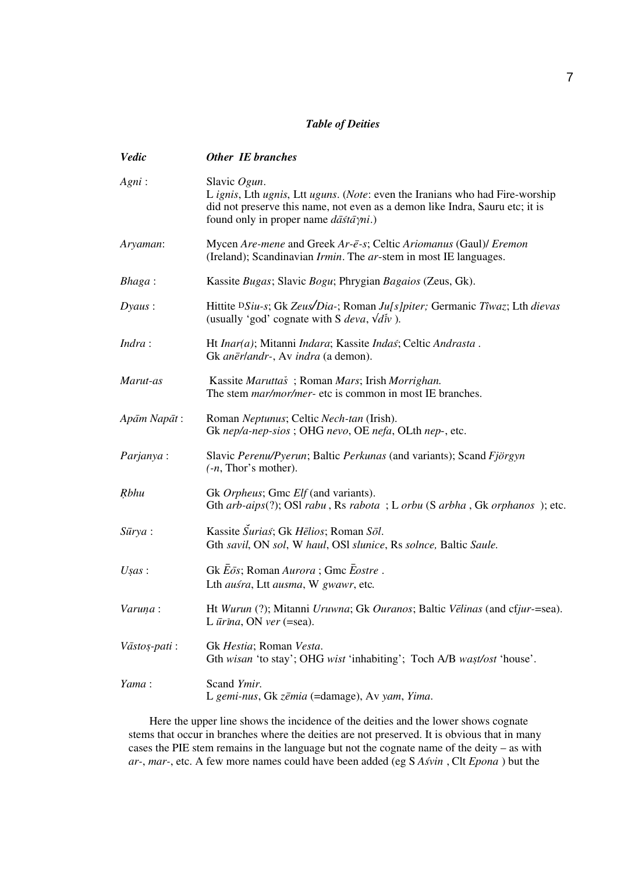# *Table of Deities*

| <b>Vedic</b>    | <b>Other IE branches</b>                                                                                                                                                                                                                        |
|-----------------|-------------------------------------------------------------------------------------------------------------------------------------------------------------------------------------------------------------------------------------------------|
| Again:          | Slavic Ogun.<br>L ignis, Lth ugnis, Ltt uguns. (Note: even the Iranians who had Fire-worship<br>did not preserve this name, not even as a demon like Indra, Sauru etc; it is<br>found only in proper name $d\bar{a}\bar{s}t\bar{a}\gamma ni$ .) |
| Aryaman:        | Mycen Are-mene and Greek Ar-ē-s; Celtic Ariomanus (Gaul)/ Eremon<br>(Ireland); Scandinavian <i>Irmin</i> . The ar-stem in most IE languages.                                                                                                    |
| $Bhaga$ :       | Kassite Bugas; Slavic Bogu; Phrygian Bagaios (Zeus, Gk).                                                                                                                                                                                        |
| $Dyaus$ :       | Hittite <sup>D</sup> Siu-s; Gk Zeus/Dia-; Roman Ju[s]piter; Germanic Tîwaz; Lth dievas<br>(usually 'god' cognate with S <i>deva</i> , $\sqrt{d}$ <i>iv</i> ).                                                                                   |
| Indra:          | Ht Inar(a); Mitanni Indara; Kassite Indaš; Celtic Andrasta.<br>Gk anerlandr-, Av indra (a demon).                                                                                                                                               |
| Marut-as        | Kassite Maruttaš; Roman Mars; Irish Morrighan.<br>The stem <i>mar/mor/mer-</i> etc is common in most IE branches.                                                                                                                               |
| Apām Napāt:     | Roman Neptunus; Celtic Nech-tan (Irish).<br>Gk nep/a-nep-sios; OHG nevo, OE nefa, OLth nep-, etc.                                                                                                                                               |
| Parjanya:       | Slavic Perenu/Pyerun; Baltic Perkunas (and variants); Scand Fjörgyn<br>$(-n, Thor's mother).$                                                                                                                                                   |
| <b>R</b> bhu    | Gk Orpheus; Gmc Elf (and variants).<br>Gth arb-aips(?); OSI rabu, Rs rabota; L orbu (S arbha, Gk orphanos); etc.                                                                                                                                |
| $S\bar{u}rya$ : | Kassite Surias; Gk Hēlios; Roman Sōl.<br>Gth savil, ON sol, W haul, OSI slunice, Rs solnce, Baltic Saule.                                                                                                                                       |
| Usas:           | Gk Eōs; Roman Aurora; Gmc Eostre.<br>Lth ausra, Ltt ausma, W gwawr, etc.                                                                                                                                                                        |
| Varuņa:         | Ht Wurun (?); Mitanni Uruwna; Gk Ouranos; Baltic Vēlinas (and cfjur-=sea).<br>L $\bar{u}$ rina, ON ver (=sea).                                                                                                                                  |
| Vāstos-pati:    | Gk Hestia; Roman Vesta.<br>Gth wisan 'to stay'; OHG wist 'inhabiting'; Toch A/B wast/ost 'house'.                                                                                                                                               |
| Yama:           | Scand Ymir.<br>L gemi-nus, Gk zēmia (=damage), Av yam, Yima.                                                                                                                                                                                    |

Here the upper line shows the incidence of the deities and the lower shows cognate stems that occur in branches where the deities are not preserved. It is obvious that in many cases the PIE stem remains in the language but not the cognate name of the deity – as with *ar-*, *mar-*, etc. A few more names could have been added (eg S *As*z*vin* , Clt *Epona* ) but the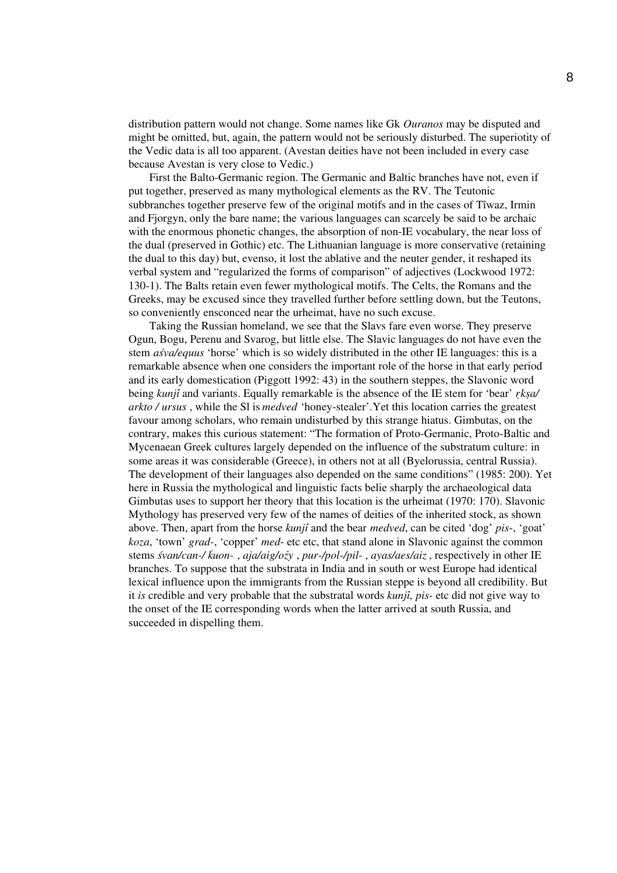distribution pattern would not change. Some names like Gk *Ouranos* may be disputed and might be omitted, but, again, the pattern would not be seriously disturbed. The superiotity of the Vedic data is all too apparent. (Avestan deities have not been included in every case because Avestan is very close to Vedic.)

First the Balto-Germanic region. The Germanic and Baltic branches have not, even if put together, preserved as many mythological elements as the RV. The Teutonic subbranches together preserve few of the original motifs and in the cases of Tîwaz, Irmin and Fjorgyn, only the bare name; the various languages can scarcely be said to be archaic with the enormous phonetic changes, the absorption of non-IE vocabulary, the near loss of the dual (preserved in Gothic) etc. The Lithuanian language is more conservative (retaining the dual to this day) but, evenso, it lost the ablative and the neuter gender, it reshaped its verbal system and "regularized the forms of comparison" of adjectives (Lockwood 1972: 130-1). The Balts retain even fewer mythological motifs. The Celts, the Romans and the Greeks, may be excused since they travelled further before settling down, but the Teutons, so conveniently ensconced near the urheimat, have no such excuse.

Taking the Russian homeland, we see that the Slavs fare even worse. They preserve Ogun, Bogu, Perenu and Svarog, but little else. The Slavic languages do not have even the stem *as*z*va/equus* 'horse' which is so widely distributed in the other IE languages: this is a remarkable absence when one considers the important role of the horse in that early period and its early domestication (Piggott 1992: 43) in the southern steppes, the Slavonic word being *kunji*› and variants. Equally remarkable is the absence of the IE stem for 'bear' *r*r*ks*w*a/ arkto / ursus* , while the Sl is *medved* 'honey-stealer'.Yet this location carries the greatest favour among scholars, who remain undisturbed by this strange hiatus. Gimbutas, on the contrary, makes this curious statement: "The formation of Proto-Germanic, Proto-Baltic and Mycenaean Greek cultures largely depended on the influence of the substratum culture: in some areas it was considerable (Greece), in others not at all (Byelorussia, central Russia). The development of their languages also depended on the same conditions" (1985: 200). Yet here in Russia the mythological and linguistic facts belie sharply the archaeological data Gimbutas uses to support her theory that this location is the urheimat (1970: 170). Slavonic Mythology has preserved very few of the names of deities of the inherited stock, as shown above. Then, apart from the horse *kunji* and the bear *medved*, can be cited 'dog' *pis*-, 'goat' *koza*, 'town' *grad-*, 'copper' *med*- etc etc, that stand alone in Slavonic against the common stems *s*z*van/can-/ k*<sup>1</sup>*uon-* , *aja/aig/oz*›*y* , *pur-/pol-/pil-* , *ayas/aes/aiz* , respectively in other IE branches. To suppose that the substrata in India and in south or west Europe had identical lexical influence upon the immigrants from the Russian steppe is beyond all credibility. But it *is* credible and very probable that the substratal words *kunji*, *pis-* etc did not give way to the onset of the IE corresponding words when the latter arrived at south Russia, and succeeded in dispelling them.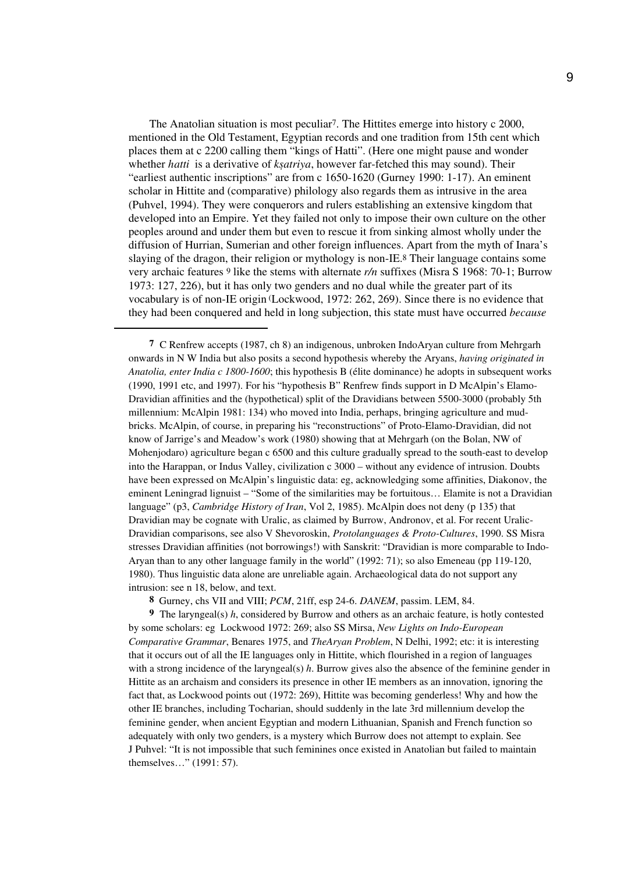The Anatolian situation is most peculiar7. The Hittites emerge into history c 2000, mentioned in the Old Testament, Egyptian records and one tradition from 15th cent which places them at c 2200 calling them "kings of Hatti". (Here one might pause and wonder whether *hatti* is a derivative of *kṣatriya*, however far-fetched this may sound). Their "earliest authentic inscriptions" are from c 1650-1620 (Gurney 1990: 1-17). An eminent scholar in Hittite and (comparative) philology also regards them as intrusive in the area (Puhvel, 1994). They were conquerors and rulers establishing an extensive kingdom that developed into an Empire. Yet they failed not only to impose their own culture on the other peoples around and under them but even to rescue it from sinking almost wholly under the diffusion of Hurrian, Sumerian and other foreign influences. Apart from the myth of Inara's slaying of the dragon, their religion or mythology is non-IE.8 Their language contains some very archaic features 9 like the stems with alternate *r/n* suffixes (Misra S 1968: 70-1; Burrow 1973: 127, 226), but it has only two genders and no dual while the greater part of its vocabulary is of non-IE origin (Lockwood, 1972: 262, 269). Since there is no evidence that they had been conquered and held in long subjection, this state must have occurred *because* 

**7** C Renfrew accepts (1987, ch 8) an indigenous, unbroken IndoAryan culture from Mehrgarh onwards in N W India but also posits a second hypothesis whereby the Aryans, *having originated in Anatolia, enter India c 1800-1600*; this hypothesis B (élite dominance) he adopts in subsequent works (1990, 1991 etc, and 1997). For his "hypothesis B" Renfrew finds support in D McAlpin's Elamo-Dravidian affinities and the (hypothetical) split of the Dravidians between 5500-3000 (probably 5th millennium: McAlpin 1981: 134) who moved into India, perhaps, bringing agriculture and mudbricks. McAlpin, of course, in preparing his "reconstructions" of Proto-Elamo-Dravidian, did not know of Jarrige's and Meadow's work (1980) showing that at Mehrgarh (on the Bolan, NW of Mohenjodaro) agriculture began c 6500 and this culture gradually spread to the south-east to develop into the Harappan, or Indus Valley, civilization c 3000 – without any evidence of intrusion. Doubts have been expressed on McAlpin's linguistic data: eg, acknowledging some affinities, Diakonov, the eminent Leningrad lignuist – "Some of the similarities may be fortuitous… Elamite is not a Dravidian language" (p3, *Cambridge History of Iran*, Vol 2, 1985). McAlpin does not deny (p 135) that Dravidian may be cognate with Uralic, as claimed by Burrow, Andronov, et al. For recent Uralic-Dravidian comparisons, see also V Shevoroskin, *Protolanguages & Proto-Cultures*, 1990. SS Misra stresses Dravidian affinities (not borrowings!) with Sanskrit: "Dravidian is more comparable to Indo-Aryan than to any other language family in the world" (1992: 71); so also Emeneau (pp 119-120, 1980). Thus linguistic data alone are unreliable again. Archaeological data do not support any intrusion: see n 18, below, and text.

**8** Gurney, chs VII and VIII; *PCM*, 21ff, esp 24-6. *DANEM*, passim. LEM, 84.

**9** The laryngeal(s) *h*, considered by Burrow and others as an archaic feature, is hotly contested by some scholars: eg Lockwood 1972: 269; also SS Mirsa, *New Lights on Indo-European Comparative Grammar*, Benares 1975, and *TheAryan Problem*, N Delhi, 1992; etc: it is interesting that it occurs out of all the IE languages only in Hittite, which flourished in a region of languages with a strong incidence of the laryngeal(s) *h*. Burrow gives also the absence of the feminine gender in Hittite as an archaism and considers its presence in other IE members as an innovation, ignoring the fact that, as Lockwood points out (1972: 269), Hittite was becoming genderless! Why and how the other IE branches, including Tocharian, should suddenly in the late 3rd millennium develop the feminine gender, when ancient Egyptian and modern Lithuanian, Spanish and French function so adequately with only two genders, is a mystery which Burrow does not attempt to explain. See J Puhvel: "It is not impossible that such feminines once existed in Anatolian but failed to maintain themselves…" (1991: 57).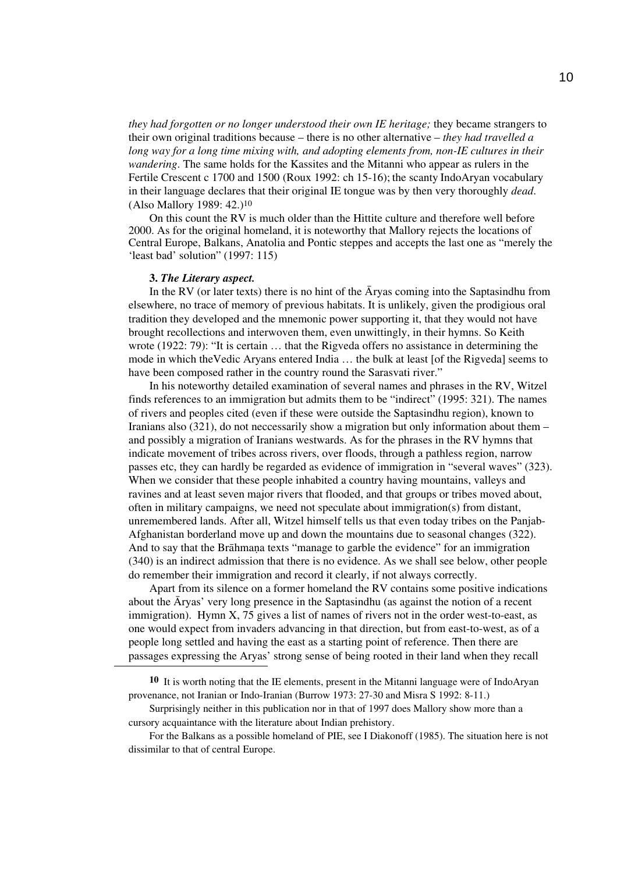*they had forgotten or no longer understood their own IE heritage;* they became strangers to their own original traditions because – there is no other alternative – *they had travelled a long way for a long time mixing with, and adopting elements from, non-IE cultures in their wandering*. The same holds for the Kassites and the Mitanni who appear as rulers in the Fertile Crescent c 1700 and 1500 (Roux 1992: ch 15-16); the scanty IndoAryan vocabulary in their language declares that their original IE tongue was by then very thoroughly *dead*. (Also Mallory 1989: 42.)10

On this count the RV is much older than the Hittite culture and therefore well before 2000. As for the original homeland, it is noteworthy that Mallory rejects the locations of Central Europe, Balkans, Anatolia and Pontic steppes and accepts the last one as "merely the 'least bad' solution" (1997: 115)

#### **3.** *The Literary aspect.*

In the RV (or later texts) there is no hint of the  $\bar{A}$ ryas coming into the Saptasindhu from elsewhere, no trace of memory of previous habitats. It is unlikely, given the prodigious oral tradition they developed and the mnemonic power supporting it, that they would not have brought recollections and interwoven them, even unwittingly, in their hymns. So Keith wrote (1922: 79): "It is certain … that the Rigveda offers no assistance in determining the mode in which theVedic Aryans entered India … the bulk at least [of the Rigveda] seems to have been composed rather in the country round the Sarasvati river."

In his noteworthy detailed examination of several names and phrases in the RV, Witzel finds references to an immigration but admits them to be "indirect" (1995: 321). The names of rivers and peoples cited (even if these were outside the Saptasindhu region), known to Iranians also (321), do not neccessarily show a migration but only information about them – and possibly a migration of Iranians westwards. As for the phrases in the RV hymns that indicate movement of tribes across rivers, over floods, through a pathless region, narrow passes etc, they can hardly be regarded as evidence of immigration in "several waves" (323). When we consider that these people inhabited a country having mountains, valleys and ravines and at least seven major rivers that flooded, and that groups or tribes moved about, often in military campaigns, we need not speculate about immigration(s) from distant, unremembered lands. After all, Witzel himself tells us that even today tribes on the Panjab-Afghanistan borderland move up and down the mountains due to seasonal changes (322). And to say that the Brahmana texts "manage to garble the evidence" for an immigration (340) is an indirect admission that there is no evidence. As we shall see below, other people do remember their immigration and record it clearly, if not always correctly.

Apart from its silence on a former homeland the RV contains some positive indications about the Aryas' very long presence in the Saptasindhu (as against the notion of a recent immigration). Hymn X, 75 gives a list of names of rivers not in the order west-to-east, as one would expect from invaders advancing in that direction, but from east-to-west, as of a people long settled and having the east as a starting point of reference. Then there are passages expressing the Aryas' strong sense of being rooted in their land when they recall

**10** It is worth noting that the IE elements, present in the Mitanni language were of IndoAryan provenance, not Iranian or Indo-Iranian (Burrow 1973: 27-30 and Misra S 1992: 8-11.)

Surprisingly neither in this publication nor in that of 1997 does Mallory show more than a cursory acquaintance with the literature about Indian prehistory.

For the Balkans as a possible homeland of PIE, see I Diakonoff (1985). The situation here is not dissimilar to that of central Europe.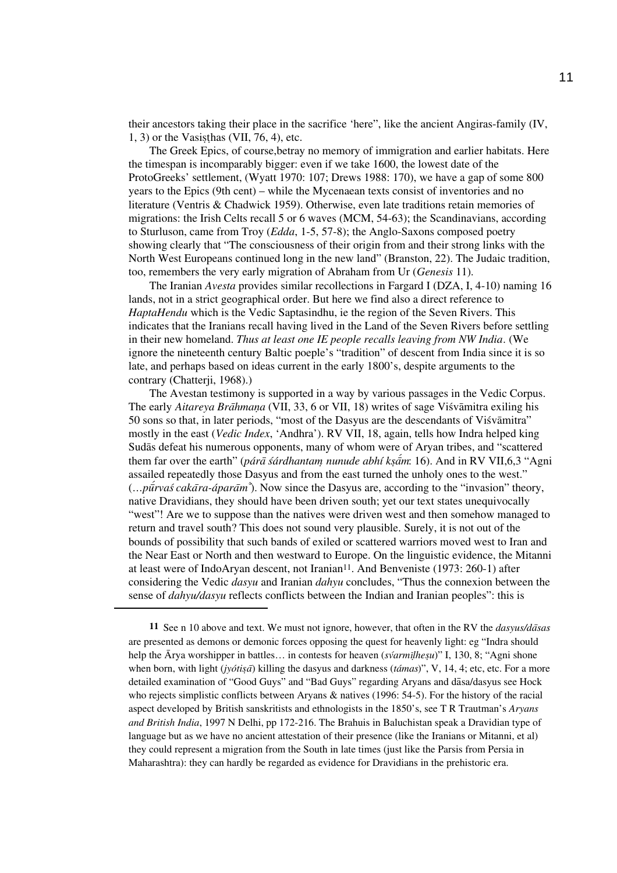their ancestors taking their place in the sacrifice 'here", like the ancient Angiras-family (IV,  $1, 3$ ) or the Vasisthas (VII, 76, 4), etc.

The Greek Epics, of course,betray no memory of immigration and earlier habitats. Here the timespan is incomparably bigger: even if we take 1600, the lowest date of the ProtoGreeks' settlement, (Wyatt 1970: 107; Drews 1988: 170), we have a gap of some 800 years to the Epics (9th cent) – while the Mycenaean texts consist of inventories and no literature (Ventris & Chadwick 1959). Otherwise, even late traditions retain memories of migrations: the Irish Celts recall 5 or 6 waves (MCM, 54-63); the Scandinavians, according to Sturluson, came from Troy (*Edda*, 1-5, 57-8); the Anglo-Saxons composed poetry showing clearly that "The consciousness of their origin from and their strong links with the North West Europeans continued long in the new land" (Branston, 22). The Judaic tradition, too, remembers the very early migration of Abraham from Ur (*Genesis* 11).

The Iranian *Avesta* provides similar recollections in Fargard I (DZA, I, 4-10) naming 16 lands, not in a strict geographical order. But here we find also a direct reference to *HaptaHendu* which is the Vedic Saptasindhu, ie the region of the Seven Rivers. This indicates that the Iranians recall having lived in the Land of the Seven Rivers before settling in their new homeland. *Thus at least one IE people recalls leaving from NW India*. (We ignore the nineteenth century Baltic poeple's "tradition" of descent from India since it is so late, and perhaps based on ideas current in the early 1800's, despite arguments to the contrary (Chatterji, 1968).)

The Avestan testimony is supported in a way by various passages in the Vedic Corpus. The early *Aitareya Brāhmana* (VII, 33, 6 or VII, 18) writes of sage Visvāmitra exiling his 50 sons so that, in later periods, "most of the Dasyus are the descendants of Visvamitra" mostly in the east (*Vedic Index*, 'Andhra'). RV VII, 18, again, tells how Indra helped king Sudaas defeat his numerous opponents, many of whom were of Aryan tribes, and "scattered them far over the earth" (*párā śárdhantam nunude abhí kṣām*: 16). And in RV VII,6,3 "Agni assailed repeatedly those Dasyus and from the east turned the unholy ones to the west." *(…pūrvaś cakāra-áparām*<sup>\*</sup>). Now since the Dasyus are, according to the "invasion" theory, native Dravidians, they should have been driven south; yet our text states unequivocally "west"! Are we to suppose than the natives were driven west and then somehow managed to return and travel south? This does not sound very plausible. Surely, it is not out of the bounds of possibility that such bands of exiled or scattered warriors moved west to Iran and the Near East or North and then westward to Europe. On the linguistic evidence, the Mitanni at least were of IndoAryan descent, not Iranian11. And Benveniste (1973: 260-1) after considering the Vedic *dasyu* and Iranian *dahyu* concludes, "Thus the connexion between the sense of *dahyu/dasyu* reflects conflicts between the Indian and Iranian peoples": this is

**11** See n 10 above and text. We must not ignore, however, that often in the RV the *dasyus/da*a*sas* are presented as demons or demonic forces opposing the quest for heavenly light: eg "Indra should help the  $\overline{A}$ rya worshipper in battles... in contests for heaven (*svarmilhesu*)" I, 130, 8; "Agni shone when born, with light (*jyótisa*) killing the dasyus and darkness (*támas*)", V, 14, 4; etc, etc. For a more detailed examination of "Good Guys" and "Bad Guys" regarding Aryans and dasa/dasyus see Hock who rejects simplistic conflicts between Aryans & natives (1996: 54-5). For the history of the racial aspect developed by British sanskritists and ethnologists in the 1850's, see T R Trautman's *Aryans and British India*, 1997 N Delhi, pp 172-216. The Brahuis in Baluchistan speak a Dravidian type of language but as we have no ancient attestation of their presence (like the Iranians or Mitanni, et al) they could represent a migration from the South in late times (just like the Parsis from Persia in Maharashtra): they can hardly be regarded as evidence for Dravidians in the prehistoric era.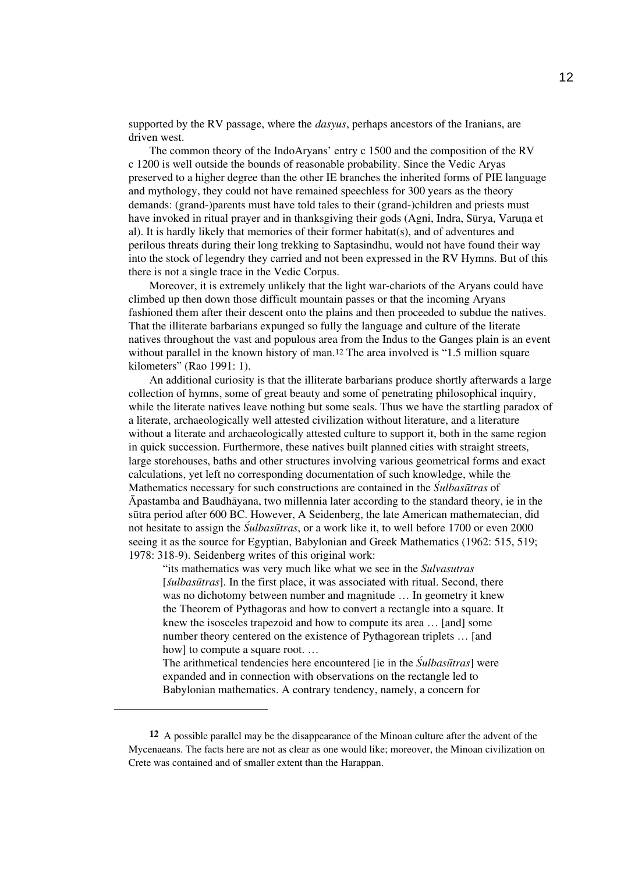supported by the RV passage, where the *dasyus*, perhaps ancestors of the Iranians, are driven west.

The common theory of the IndoAryans' entry c 1500 and the composition of the RV c 1200 is well outside the bounds of reasonable probability. Since the Vedic Aryas preserved to a higher degree than the other IE branches the inherited forms of PIE language and mythology, they could not have remained speechless for 300 years as the theory demands: (grand-)parents must have told tales to their (grand-)children and priests must have invoked in ritual prayer and in thanksgiving their gods (Agni, Indra, Sūrya, Varuna et al). It is hardly likely that memories of their former habitat(s), and of adventures and perilous threats during their long trekking to Saptasindhu, would not have found their way into the stock of legendry they carried and not been expressed in the RV Hymns. But of this there is not a single trace in the Vedic Corpus.

Moreover, it is extremely unlikely that the light war-chariots of the Aryans could have climbed up then down those difficult mountain passes or that the incoming Aryans fashioned them after their descent onto the plains and then proceeded to subdue the natives. That the illiterate barbarians expunged so fully the language and culture of the literate natives throughout the vast and populous area from the Indus to the Ganges plain is an event without parallel in the known history of man.<sup>12</sup> The area involved is "1.5 million square kilometers" (Rao 1991: 1).

An additional curiosity is that the illiterate barbarians produce shortly afterwards a large collection of hymns, some of great beauty and some of penetrating philosophical inquiry, while the literate natives leave nothing but some seals. Thus we have the startling paradox of a literate, archaeologically well attested civilization without literature, and a literature without a literate and archaeologically attested culture to support it, both in the same region in quick succession. Furthermore, these natives built planned cities with straight streets, large storehouses, baths and other structures involving various geometrical forms and exact calculations, yet left no corresponding documentation of such knowledge, while the Mathematics necessary for such constructions are contained in the *Sulbasultras* of  $\bar{A}$ pastamba and Baudhāyana, two millennia later according to the standard theory, ie in the sutra period after 600 BC. However, A Seidenberg, the late American mathematecian, did not hesitate to assign the *S*<sup>Z</sup>*ulbasu*u*tras*, or a work like it, to well before 1700 or even 2000 seeing it as the source for Egyptian, Babylonian and Greek Mathematics (1962: 515, 519; 1978: 318-9). Seidenberg writes of this original work:

"its mathematics was very much like what we see in the *Sulvasutras*  [*sulbasutras*]. In the first place, it was associated with ritual. Second, there was no dichotomy between number and magnitude … In geometry it knew the Theorem of Pythagoras and how to convert a rectangle into a square. It knew the isosceles trapezoid and how to compute its area … [and] some number theory centered on the existence of Pythagorean triplets … [and how] to compute a square root. ...

The arithmetical tendencies here encountered [ie in the *Sulbasutras*] were expanded and in connection with observations on the rectangle led to Babylonian mathematics. A contrary tendency, namely, a concern for

**<sup>12</sup>** A possible parallel may be the disappearance of the Minoan culture after the advent of the Mycenaeans. The facts here are not as clear as one would like; moreover, the Minoan civilization on Crete was contained and of smaller extent than the Harappan.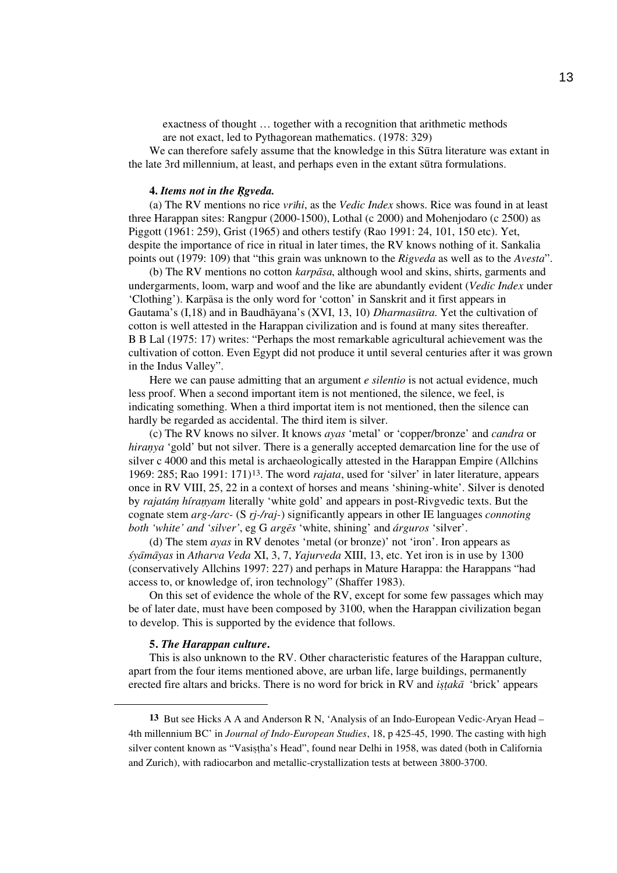exactness of thought … together with a recognition that arithmetic methods are not exact, led to Pythagorean mathematics. (1978: 329)

We can therefore safely assume that the knowledge in this Sutra literature was extant in the late 3rd millennium, at least, and perhaps even in the extant surfra formulations.

### **4.** *Items not in the Rgveda.*

(a) The RV mentions no rice *vr*i*hi*, as the *Vedic Index* shows. Rice was found in at least three Harappan sites: Rangpur (2000-1500), Lothal (c 2000) and Mohenjodaro (c 2500) as Piggott (1961: 259), Grist (1965) and others testify (Rao 1991: 24, 101, 150 etc). Yet, despite the importance of rice in ritual in later times, the RV knows nothing of it. Sankalia points out (1979: 109) that "this grain was unknown to the *Rigveda* as well as to the *Avesta*".

(b) The RV mentions no cotton *karpāsa*, although wool and skins, shirts, garments and undergarments, loom, warp and woof and the like are abundantly evident (*Vedic Index* under 'Clothing'). Karpaasa is the only word for 'cotton' in Sanskrit and it first appears in Gautama's (I,18) and in Baudhāyana's (XVI, 13, 10) *Dharmasūtra*. Yet the cultivation of cotton is well attested in the Harappan civilization and is found at many sites thereafter. B B Lal (1975: 17) writes: "Perhaps the most remarkable agricultural achievement was the cultivation of cotton. Even Egypt did not produce it until several centuries after it was grown in the Indus Valley".

Here we can pause admitting that an argument *e silentio* is not actual evidence, much less proof. When a second important item is not mentioned, the silence, we feel, is indicating something. When a third importat item is not mentioned, then the silence can hardly be regarded as accidental. The third item is silver.

(c) The RV knows no silver. It knows *ayas* 'metal' or 'copper/bronze' and *candra* or *hiranya* 'gold' but not silver. There is a generally accepted demarcation line for the use of silver c 4000 and this metal is archaeologically attested in the Harappan Empire (Allchins 1969: 285; Rao 1991: 171)13. The word *rajata*, used for 'silver' in later literature, appears once in RV VIII, 25, 22 in a context of horses and means 'shining-white'. Silver is denoted by *rajatám*- *híran*-*yam* literally 'white gold' and appears in post-Rivgvedic texts. But the cognate stem *arg-/arc-* (S *r*r*j-/raj-*) significantly appears in other IE languages *connoting both 'white' and 'silver'*, eg G *arge*a*s* 'white, shining' and *árguros* 'silver'.

(d) The stem *ayas* in RV denotes 'metal (or bronze)' not 'iron'. Iron appears as *s*z*ya*a*ma*a*yas* in *Atharva Veda* XI, 3, 7, *Yajurveda* XIII, 13, etc. Yet iron is in use by 1300 (conservatively Allchins 1997: 227) and perhaps in Mature Harappa: the Harappans "had access to, or knowledge of, iron technology" (Shaffer 1983).

On this set of evidence the whole of the RV, except for some few passages which may be of later date, must have been composed by 3100, when the Harappan civilization began to develop. This is supported by the evidence that follows.

### **5.** *The Harappan culture***.**

This is also unknown to the RV. Other characteristic features of the Harappan culture, apart from the four items mentioned above, are urban life, large buildings, permanently erected fire altars and bricks. There is no word for brick in RV and *is*w*t*t*aka*<sup>a</sup> 'brick' appears

**<sup>13</sup>** But see Hicks A A and Anderson R N, 'Analysis of an Indo-European Vedic-Aryan Head – 4th millennium BC' in *Journal of Indo-European Studies*, 18, p 425-45, 1990. The casting with high silver content known as "Vasistha's Head", found near Delhi in 1958, was dated (both in California and Zurich), with radiocarbon and metallic-crystallization tests at between 3800-3700.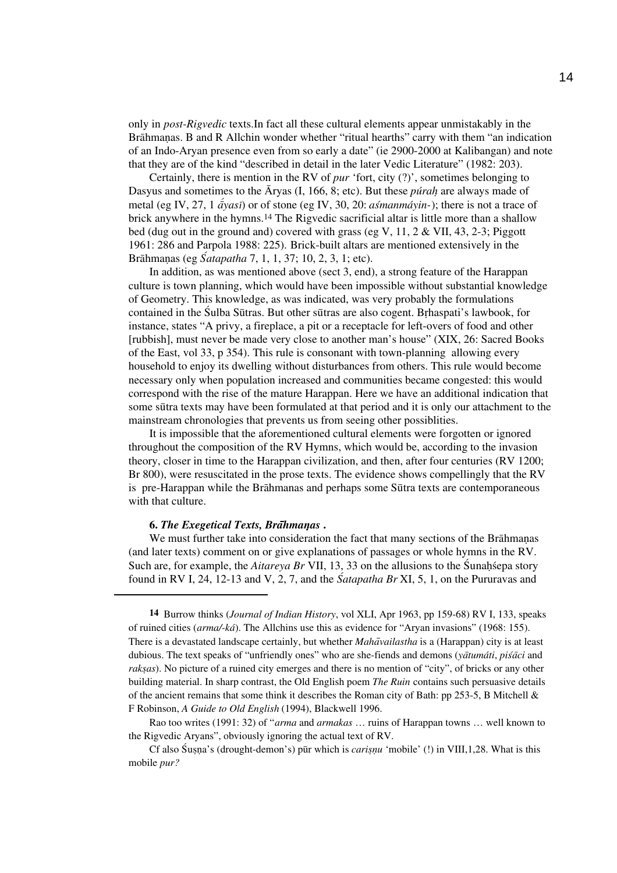only in *post-Rigvedic* texts.In fact all these cultural elements appear unmistakably in the Brāhmanas. B and R Allchin wonder whether "ritual hearths" carry with them "an indication of an Indo-Aryan presence even from so early a date" (ie 2900-2000 at Kalibangan) and note that they are of the kind "described in detail in the later Vedic Literature" (1982: 203).

Certainly, there is mention in the RV of *pur* 'fort, city (?)', sometimes belonging to Dasyus and sometimes to the A<sup>ryas</sup> (I, 166, 8; etc). But these *purah* are always made of metal (eg IV, 27, 1  $\vec{a}$ *yasi*) or of stone (eg IV, 30, 20: *asmanmáyin*-); there is not a trace of brick anywhere in the hymns.14 The Rigvedic sacrificial altar is little more than a shallow bed (dug out in the ground and) covered with grass (eg V, 11, 2 & VII, 43, 2-3; Piggott 1961: 286 and Parpola 1988: 225). Brick-built altars are mentioned extensively in the Brāhmanas (eg *Śatapatha* 7, 1, 1, 37; 10, 2, 3, 1; etc).

In addition, as was mentioned above (sect 3, end), a strong feature of the Harappan culture is town planning, which would have been impossible without substantial knowledge of Geometry. This knowledge, as was indicated, was very probably the formulations contained in the Sulba Sūtras. But other surfass are also cogent. Brhaspati's lawbook, for instance, states "A privy, a fireplace, a pit or a receptacle for left-overs of food and other [rubbish], must never be made very close to another man's house" (XIX, 26: Sacred Books of the East, vol 33, p 354). This rule is consonant with town-planning allowing every household to enjoy its dwelling without disturbances from others. This rule would become necessary only when population increased and communities became congested: this would correspond with the rise of the mature Harappan. Here we have an additional indication that some sultra texts may have been formulated at that period and it is only our attachment to the mainstream chronologies that prevents us from seeing other possiblities.

It is impossible that the aforementioned cultural elements were forgotten or ignored throughout the composition of the RV Hymns, which would be, according to the invasion theory, closer in time to the Harappan civilization, and then, after four centuries (RV 1200; Br 800), were resuscitated in the prose texts. The evidence shows compellingly that the RV is pre-Harappan while the Brahmanas and perhaps some Surfra texts are contemporaneous with that culture.

#### **6. The Exegetical Texts, Brahmanas**.

We must further take into consideration the fact that many sections of the Brāhmaṇas (and later texts) comment on or give explanations of passages or whole hymns in the RV. Such are, for example, the *Aitareya Br* VII, 13, 33 on the allusions to the Sunahsepa story found in RV I, 24, 12-13 and V, 2, 7, and the *Satapatha Br* XI, 5, 1, on the Pururavas and

**14** Burrow thinks (*Journal of Indian History*, vol XLI, Apr 1963, pp 159-68) RV I, 133, speaks of ruined cities (*arma/-ká*). The Allchins use this as evidence for "Aryan invasions" (1968: 155). There is a devastated landscape certainly, but whether *Maha*a*vailastha* is a (Harappan) city is at least dubious. The text speaks of "unfriendly ones" who are she-fiends and demons (*ya*a*tumáti*, *pis*z*a*a*ci* and *raksas*). No picture of a ruined city emerges and there is no mention of "city", of bricks or any other building material. In sharp contrast, the Old English poem *The Ruin* contains such persuasive details of the ancient remains that some think it describes the Roman city of Bath: pp 253-5, B Mitchell & F Robinson, *A Guide to Old English* (1994), Blackwell 1996.

Rao too writes (1991: 32) of "*arma* and *armakas* … ruins of Harappan towns … well known to the Rigvedic Aryans", obviously ignoring the actual text of RV.

Cf also Susna's (drought-demon's) pur which is *carisnu* 'mobile' (!) in VIII,1,28. What is this mobile *pur?*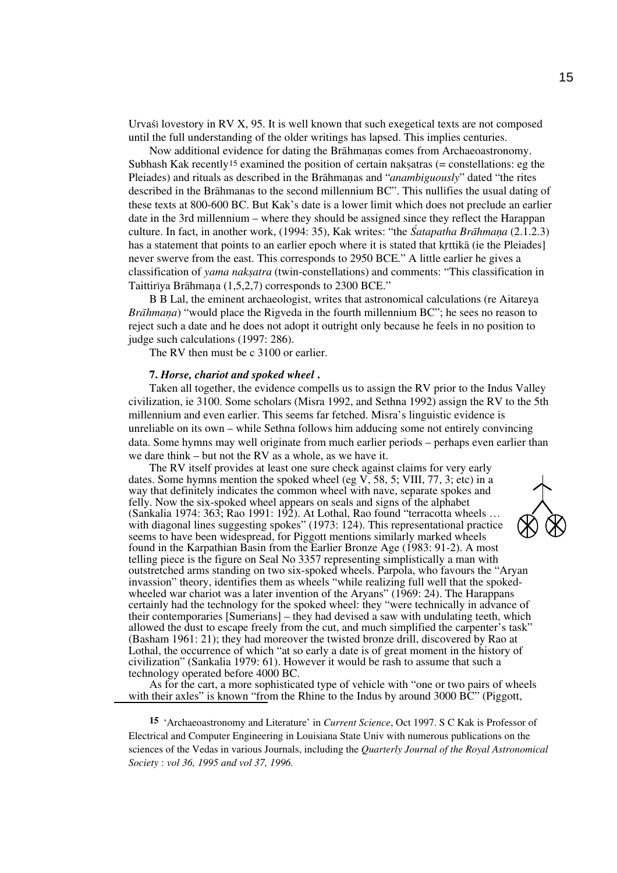Urvast lovestory in RV  $X$ , 95. It is well known that such exegetical texts are not composed until the full understanding of the older writings has lapsed. This implies centuries.

Now additional evidence for dating the Brahmanas comes from Archaeoastronomy. Subhash Kak recently<sup>15</sup> examined the position of certain naksatras (= constellations: eg the Pleiades) and rituals as described in the Brahmanas and "*anambiguously*" dated "the rites described in the Brāhmanas to the second millennium BC". This nullifies the usual dating of these texts at 800-600 BC. But Kak's date is a lower limit which does not preclude an earlier date in the 3rd millennium – where they should be assigned since they reflect the Harappan culture. In fact, in another work, (1994: 35), Kak writes: "the *Satapatha Brāhmana* (2.1.2.3) has a statement that points to an earlier epoch where it is stated that kritika (ie the Pleiades) never swerve from the east. This corresponds to 2950 BCE." A little earlier he gives a classification of *yama naks*w*atra* (twin-constellations) and comments: "This classification in Taittiriya Brāhmana (1,5,2,7) corresponds to 2300 BCE."

B B Lal, the eminent archaeologist, writes that astronomical calculations (re Aitareya *Brāhmana*) "would place the Rigveda in the fourth millennium BC"; he sees no reason to reject such a date and he does not adopt it outright only because he feels in no position to judge such calculations (1997: 286).

The RV then must be c 3100 or earlier.

#### **7.** *Horse, chariot and spoked wheel* **.**

Taken all together, the evidence compells us to assign the RV prior to the Indus Valley civilization, ie 3100. Some scholars (Misra 1992, and Sethna 1992) assign the RV to the 5th millennium and even earlier. This seems far fetched. Misra's linguistic evidence is unreliable on its own – while Sethna follows him adducing some not entirely convincing data. Some hymns may well originate from much earlier periods – perhaps even earlier than we dare think – but not the RV as a whole, as we have it.

The RV itself provides at least one sure check against claims for very early dates. Some hymns mention the spoked wheel (eg  $V$ , 58, 5; VIII, 77, 3; etc) in a way that definitely indicates the common wheel with nave, separate spokes and felly. Now the six-spoked wheel appears on seals and signs of the alphabet (Sankalia 1974: 363; Rao 1991: 192). At Lothal, Rao found "terracotta wheels … with diagonal lines suggesting spokes" (1973: 124). This representational practice seems to have been widespread, for Piggott mentions similarly marked wheels found in the Karpathian Basin from the Earlier Bronze Age (1983: 91-2). A most telling piece is the figure on Seal No 3357 representing simplistically a man with outstretched arms standing on two six-spoked wheels. Parpola, who favours the "Aryan invassion" theory, identifies them as wheels "while realizing full well that the spokedwheeled war chariot was a later invention of the Aryans" (1969: 24). The Harappans certainly had the technology for the spoked wheel: they "were technically in advance of their contemporaries [Sumerians] – they had devised a saw with undulating teeth, which allowed the dust to escape freely from the cut, and much simplified the carpenter's task" (Basham 1961: 21); they had moreover the twisted bronze drill, discovered by Rao at Lothal, the occurrence of which "at so early a date is of great moment in the history of civilization" (Sankalia 1979: 61). However it would be rash to assume that such a technology operated before 4000 BC.

As for the cart, a more sophisticated type of vehicle with "one or two pairs of wheels with their axles" is known "from the Rhine to the Indus by around 3000 BC" (Piggott,

**15** 'Archaeoastronomy and Literature' in *Current Science*, Oct 1997. S C Kak is Professor of Electrical and Computer Engineering in Louisiana State Univ with numerous publications on the sciences of the Vedas in various Journals, including the *Quarterly Journal of the Royal Astronomical Society* : *vol 36, 1995 and vol 37, 1996.*

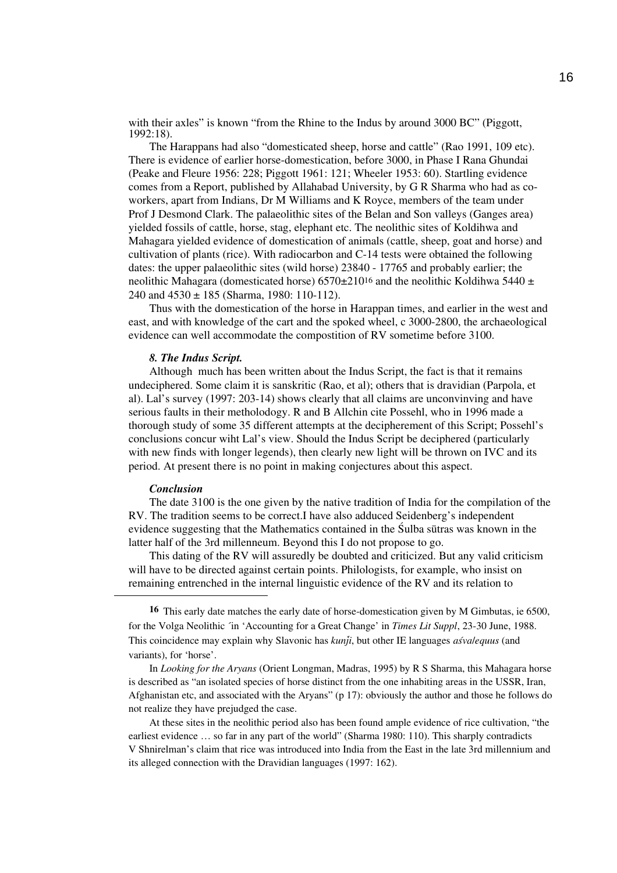with their axles" is known "from the Rhine to the Indus by around 3000 BC" (Piggott, 1992:18).

The Harappans had also "domesticated sheep, horse and cattle" (Rao 1991, 109 etc). There is evidence of earlier horse-domestication, before 3000, in Phase I Rana Ghundai (Peake and Fleure 1956: 228; Piggott 1961: 121; Wheeler 1953: 60). Startling evidence comes from a Report, published by Allahabad University, by G R Sharma who had as coworkers, apart from Indians, Dr M Williams and K Royce, members of the team under Prof J Desmond Clark. The palaeolithic sites of the Belan and Son valleys (Ganges area) yielded fossils of cattle, horse, stag, elephant etc. The neolithic sites of Koldihwa and Mahagara yielded evidence of domestication of animals (cattle, sheep, goat and horse) and cultivation of plants (rice). With radiocarbon and C-14 tests were obtained the following dates: the upper palaeolithic sites (wild horse) 23840 - 17765 and probably earlier; the neolithic Mahagara (domesticated horse)  $6570 \pm 210^{16}$  and the neolithic Koldihwa 5440  $\pm$ 240 and  $4530 \pm 185$  (Sharma, 1980: 110-112).

Thus with the domestication of the horse in Harappan times, and earlier in the west and east, and with knowledge of the cart and the spoked wheel, c 3000-2800, the archaeological evidence can well accommodate the compostition of RV sometime before 3100.

### *8. The Indus Script.*

Although much has been written about the Indus Script, the fact is that it remains undeciphered. Some claim it is sanskritic (Rao, et al); others that is dravidian (Parpola, et al). Lal's survey (1997: 203-14) shows clearly that all claims are unconvinving and have serious faults in their metholodogy. R and B Allchin cite Possehl, who in 1996 made a thorough study of some 35 different attempts at the decipherement of this Script; Possehl's conclusions concur wiht Lal's view. Should the Indus Script be deciphered (particularly with new finds with longer legends), then clearly new light will be thrown on IVC and its period. At present there is no point in making conjectures about this aspect.

#### *Conclusion*

The date 3100 is the one given by the native tradition of India for the compilation of the RV. The tradition seems to be correct.I have also adduced Seidenberg's independent evidence suggesting that the Mathematics contained in the Sulba surfaces was known in the latter half of the 3rd millenneum. Beyond this I do not propose to go.

This dating of the RV will assuredly be doubted and criticized. But any valid criticism will have to be directed against certain points. Philologists, for example, who insist on remaining entrenched in the internal linguistic evidence of the RV and its relation to

**16** This early date matches the early date of horse-domestication given by M Gimbutas, ie 6500, for the Volga Neolithic ´in 'Accounting for a Great Change' in *Times Lit Suppl*, 23-30 June, 1988. This coincidence may explain why Slavonic has *kunji*, but other IE languages *asvalequus* (and variants), for 'horse'.

In *Looking for the Aryans* (Orient Longman, Madras, 1995) by R S Sharma, this Mahagara horse is described as "an isolated species of horse distinct from the one inhabiting areas in the USSR, Iran, Afghanistan etc, and associated with the Aryans" (p 17): obviously the author and those he follows do not realize they have prejudged the case.

At these sites in the neolithic period also has been found ample evidence of rice cultivation, "the earliest evidence … so far in any part of the world" (Sharma 1980: 110). This sharply contradicts V Shnirelman's claim that rice was introduced into India from the East in the late 3rd millennium and its alleged connection with the Dravidian languages (1997: 162).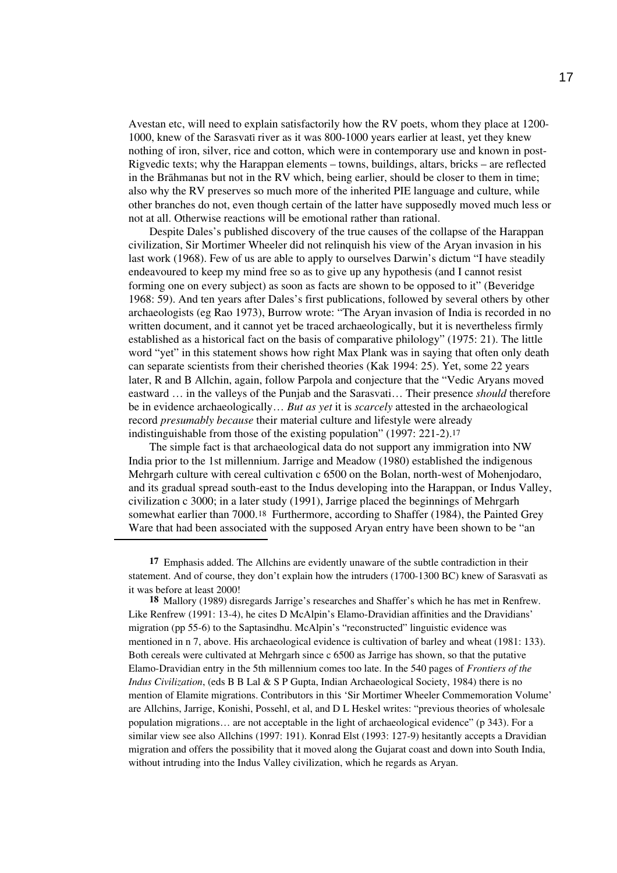Avestan etc, will need to explain satisfactorily how the RV poets, whom they place at 1200- 1000, knew of the Sarasvati river as it was 800-1000 years earlier at least, yet they knew nothing of iron, silver, rice and cotton, which were in contemporary use and known in post-Rigvedic texts; why the Harappan elements – towns, buildings, altars, bricks – are reflected in the Brahmanas but not in the RV which, being earlier, should be closer to them in time; also why the RV preserves so much more of the inherited PIE language and culture, while other branches do not, even though certain of the latter have supposedly moved much less or not at all. Otherwise reactions will be emotional rather than rational.

Despite Dales's published discovery of the true causes of the collapse of the Harappan civilization, Sir Mortimer Wheeler did not relinquish his view of the Aryan invasion in his last work (1968). Few of us are able to apply to ourselves Darwin's dictum "I have steadily endeavoured to keep my mind free so as to give up any hypothesis (and I cannot resist forming one on every subject) as soon as facts are shown to be opposed to it" (Beveridge 1968: 59). And ten years after Dales's first publications, followed by several others by other archaeologists (eg Rao 1973), Burrow wrote: "The Aryan invasion of India is recorded in no written document, and it cannot yet be traced archaeologically, but it is nevertheless firmly established as a historical fact on the basis of comparative philology" (1975: 21). The little word "yet" in this statement shows how right Max Plank was in saying that often only death can separate scientists from their cherished theories (Kak 1994: 25). Yet, some 22 years later, R and B Allchin, again, follow Parpola and conjecture that the "Vedic Aryans moved eastward … in the valleys of the Punjab and the Sarasvati… Their presence *should* therefore be in evidence archaeologically… *But as yet* it is *scarcely* attested in the archaeological record *presumably because* their material culture and lifestyle were already indistinguishable from those of the existing population" (1997: 221-2).17

The simple fact is that archaeological data do not support any immigration into NW India prior to the 1st millennium. Jarrige and Meadow (1980) established the indigenous Mehrgarh culture with cereal cultivation c 6500 on the Bolan, north-west of Mohenjodaro, and its gradual spread south-east to the Indus developing into the Harappan, or Indus Valley, civilization c 3000; in a later study (1991), Jarrige placed the beginnings of Mehrgarh somewhat earlier than 7000.18 Furthermore, according to Shaffer (1984), the Painted Grey Ware that had been associated with the supposed Aryan entry have been shown to be "an

**17** Emphasis added. The Allchins are evidently unaware of the subtle contradiction in their statement. And of course, they don't explain how the intruders (1700-1300 BC) knew of Sarasvati as it was before at least 2000!

**18** Mallory (1989) disregards Jarrige's researches and Shaffer's which he has met in Renfrew. Like Renfrew (1991: 13-4), he cites D McAlpin's Elamo-Dravidian affinities and the Dravidians' migration (pp 55-6) to the Saptasindhu. McAlpin's "reconstructed" linguistic evidence was mentioned in n 7, above. His archaeological evidence is cultivation of barley and wheat (1981: 133). Both cereals were cultivated at Mehrgarh since c 6500 as Jarrige has shown, so that the putative Elamo-Dravidian entry in the 5th millennium comes too late. In the 540 pages of *Frontiers of the Indus Civilization*, (eds B B Lal & S P Gupta, Indian Archaeological Society, 1984) there is no mention of Elamite migrations. Contributors in this 'Sir Mortimer Wheeler Commemoration Volume' are Allchins, Jarrige, Konishi, Possehl, et al, and D L Heskel writes: "previous theories of wholesale population migrations… are not acceptable in the light of archaeological evidence" (p 343). For a similar view see also Allchins (1997: 191). Konrad Elst (1993: 127-9) hesitantly accepts a Dravidian migration and offers the possibility that it moved along the Gujarat coast and down into South India, without intruding into the Indus Valley civilization, which he regards as Aryan.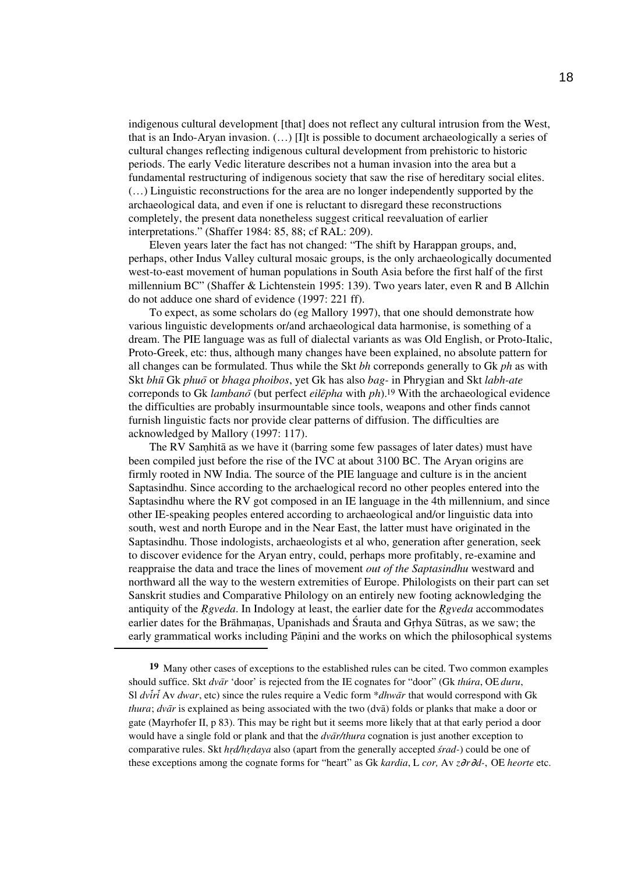indigenous cultural development [that] does not reflect any cultural intrusion from the West, that is an Indo-Aryan invasion. (…) [I]t is possible to document archaeologically a series of cultural changes reflecting indigenous cultural development from prehistoric to historic periods. The early Vedic literature describes not a human invasion into the area but a fundamental restructuring of indigenous society that saw the rise of hereditary social elites. (…) Linguistic reconstructions for the area are no longer independently supported by the archaeological data, and even if one is reluctant to disregard these reconstructions completely, the present data nonetheless suggest critical reevaluation of earlier interpretations." (Shaffer 1984: 85, 88; cf RAL: 209).

Eleven years later the fact has not changed: "The shift by Harappan groups, and, perhaps, other Indus Valley cultural mosaic groups, is the only archaeologically documented west-to-east movement of human populations in South Asia before the first half of the first millennium BC" (Shaffer & Lichtenstein 1995: 139). Two years later, even R and B Allchin do not adduce one shard of evidence (1997: 221 ff).

To expect, as some scholars do (eg Mallory 1997), that one should demonstrate how various linguistic developments or/and archaeological data harmonise, is something of a dream. The PIE language was as full of dialectal variants as was Old English, or Proto-Italic, Proto-Greek, etc: thus, although many changes have been explained, no absolute pattern for all changes can be formulated. Thus while the Skt *bh* correponds generally to Gk *ph* as with Skt *bhū* Gk *phuō* or *bhaga phoibos*, yet Gk has also *bag*- in Phrygian and Skt *labh-ate* correponds to Gk *lambano*<sup> $\bar{o}$ </sup> (but perfect *eilepha* with  $ph$ ).<sup>19</sup> With the archaeological evidence the difficulties are probably insurmountable since tools, weapons and other finds cannot furnish linguistic facts nor provide clear patterns of diffusion. The difficulties are acknowledged by Mallory (1997: 117).

The RV Samhita as we have it (barring some few passages of later dates) must have been compiled just before the rise of the IVC at about 3100 BC. The Aryan origins are firmly rooted in NW India. The source of the PIE language and culture is in the ancient Saptasindhu. Since according to the archaelogical record no other peoples entered into the Saptasindhu where the RV got composed in an IE language in the 4th millennium, and since other IE-speaking peoples entered according to archaeological and/or linguistic data into south, west and north Europe and in the Near East, the latter must have originated in the Saptasindhu. Those indologists, archaeologists et al who, generation after generation, seek to discover evidence for the Aryan entry, could, perhaps more profitably, re-examine and reappraise the data and trace the lines of movement *out of the Saptasindhu* westward and northward all the way to the western extremities of Europe. Philologists on their part can set Sanskrit studies and Comparative Philology on an entirely new footing acknowledging the antiquity of the *R*<sup>gveda</sup>. In Indology at least, the earlier date for the *R*<sup>gveda</sup> accommodates earlier dates for the Brahmanas, Upanishads and Srauta and Grhya Sutras, as we saw; the early grammatical works including Pāṇini and the works on which the philosophical systems

**<sup>19</sup>** Many other cases of exceptions to the established rules can be cited. Two common examples should suffice. Skt  $dv\bar{a}r$  'door' is rejected from the IE cognates for "door" (Gk thúra, OE duru, Sl *dviri* Av *dwar*, etc) since the rules require a Vedic form \**dhwar* that would correspond with Gk *thura*;  $dv\bar{a}r$  is explained as being associated with the two ( $dv\bar{a}$ ) folds or planks that make a door or gate (Mayrhofer II, p 83). This may be right but it seems more likely that at that early period a door would have a single fold or plank and that the *dvar/thura* cognation is just another exception to comparative rules. Skt *hr*r*d/hr*r*daya* also (apart from the generally accepted *s*z*rad-*) could be one of these exceptions among the cognate forms for "heart" as Gk *kardia*, L *cor,* Av *z*∂*r*∂*d-*, OE *heorte* etc.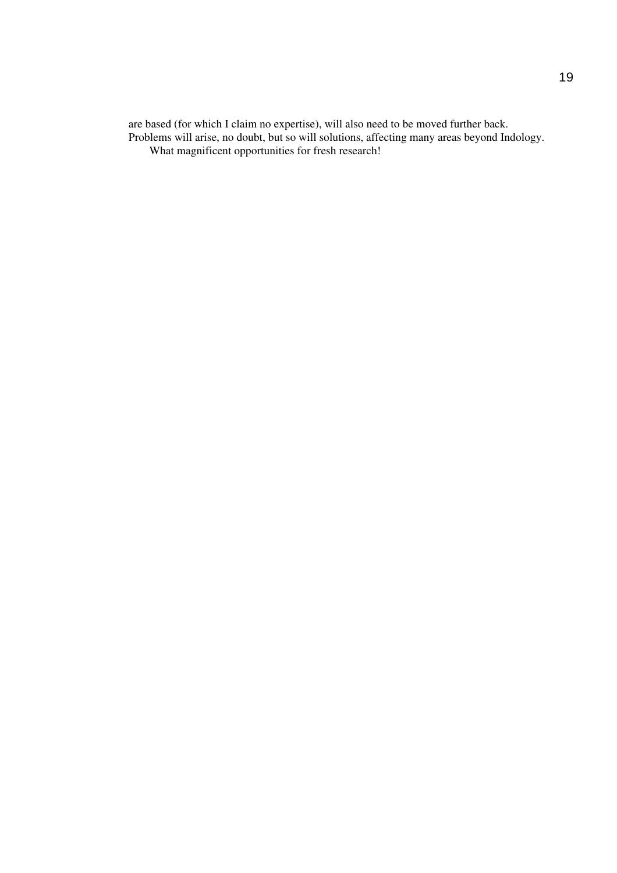are based (for which I claim no expertise), will also need to be moved further back. Problems will arise, no doubt, but so will solutions, affecting many areas beyond Indology. What magnificent opportunities for fresh research!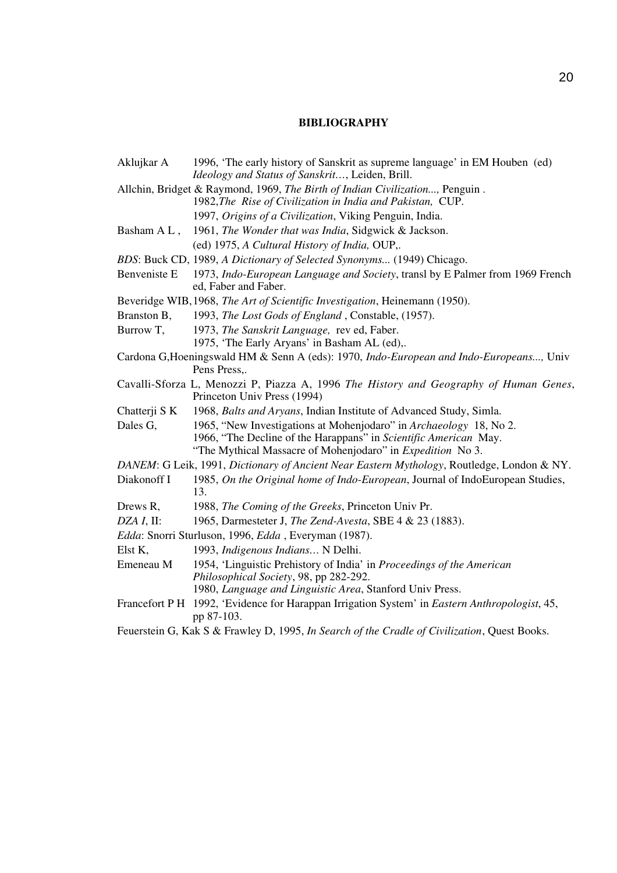## **BIBLIOGRAPHY**

- Aklujkar A 1996, 'The early history of Sanskrit as supreme language' in EM Houben (ed) *Ideology and Status of Sanskrit…*, Leiden, Brill. Allchin, Bridget & Raymond, 1969, *The Birth of Indian Civilization...,* Penguin . 1982,*The Rise of Civilization in India and Pakistan,* CUP.
	- 1997, *Origins of a Civilization*, Viking Penguin, India.
- Basham A L , 1961, *The Wonder that was India*, Sidgwick & Jackson. (ed) 1975, *A Cultural History of India,* OUP,.
- *BDS*: Buck CD, 1989, *A Dictionary of Selected Synonyms...* (1949) Chicago.
- Benveniste E 1973, *Indo-European Language and Society*, transl by E Palmer from 1969 French ed, Faber and Faber.
- Beveridge WIB,1968, *The Art of Scientific Investigation*, Heinemann (1950).
- Branston B, 1993, *The Lost Gods of England* , Constable, (1957).
- Burrow T, 1973, *The Sanskrit Language,* rev ed, Faber.
- 1975, 'The Early Aryans' in Basham AL (ed),.
- Cardona G,Hoeningswald HM & Senn A (eds): 1970, *Indo-European and Indo-Europeans...,* Univ Pens Press,.
- Cavalli-Sforza L, Menozzi P, Piazza A, 1996 *The History and Geography of Human Genes*, Princeton Univ Press (1994)
- Chatterji S K 1968, *Balts and Aryans*, Indian Institute of Advanced Study, Simla.
- Dales G, 1965, "New Investigations at Mohenjodaro" in *Archaeology* 18, No 2. 1966, "The Decline of the Harappans" in *Scientific American* May. "The Mythical Massacre of Mohenjodaro" in *Expedition* No 3.
- *DANEM*: G Leik, 1991, *Dictionary of Ancient Near Eastern Mythology*, Routledge, London & NY.
- Diakonoff I 1985, *On the Original home of Indo-European*, Journal of IndoEuropean Studies, 13.
- Drews R, 1988, *The Coming of the Greeks*, Princeton Univ Pr.
- *DZA I*, II: 1965, Darmesteter J, *The Zend-Avesta*, SBE 4 & 23 (1883).
- *Edda*: Snorri Sturluson, 1996, *Edda* , Everyman (1987).
- Elst K, 1993, *Indigenous Indians…* N Delhi.
- Emeneau M 1954, 'Linguistic Prehistory of India' in *Proceedings of the American Philosophical Society*, 98, pp 282-292. 1980, *Language and Linguistic Area*, Stanford Univ Press.
- Francefort P H 1992, 'Evidence for Harappan Irrigation System' in *Eastern Anthropologist*, 45, pp 87-103.
- Feuerstein G, Kak S & Frawley D, 1995, *In Search of the Cradle of Civilization*, Quest Books.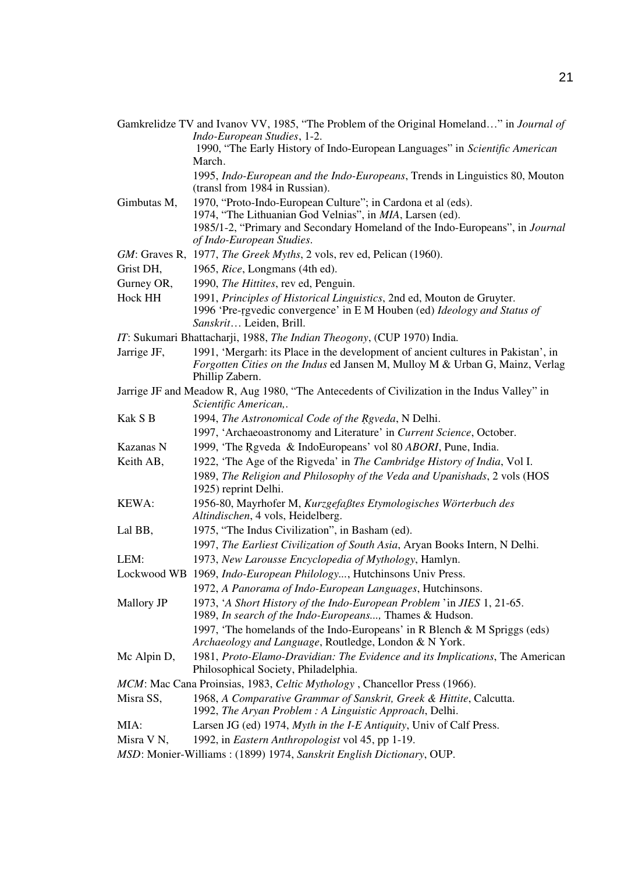Gamkrelidze TV and Ivanov VV, 1985, "The Problem of the Original Homeland…" in *Journal of Indo-European Studies*, 1-2. 1990, "The Early History of Indo-European Languages" in *Scientific American*  March.

> 1995, *Indo-European and the Indo-Europeans*, Trends in Linguistics 80, Mouton (transl from 1984 in Russian).

- Gimbutas M, 1970, "Proto-Indo-European Culture"; in Cardona et al (eds). 1974, "The Lithuanian God Velnias", in *MIA*, Larsen (ed). 1985/1-2, "Primary and Secondary Homeland of the Indo-Europeans", in *Journal of Indo-European Studies*.
- *GM*: Graves R, 1977, *The Greek Myths*, 2 vols, rev ed, Pelican (1960).
- Grist DH, 1965, *Rice*, Longmans (4th ed).
- Gurney OR, 1990, *The Hittites*, rev ed, Penguin.
- Hock HH 1991, *Principles of Historical Linguistics*, 2nd ed, Mouton de Gruyter. 1996 'Pre-rrgvedic convergence' in E M Houben (ed) *Ideology and Status of Sanskrit*… Leiden, Brill.
- *IT*: Sukumari Bhattacharji, 1988, *The Indian Theogony*, (CUP 1970) India.
- Jarrige JF, 1991, 'Mergarh: its Place in the development of ancient cultures in Pakistan', in *Forgotten Cities on the Indus* ed Jansen M, Mulloy M & Urban G, Mainz, Verlag Phillip Zabern.
- Jarrige JF and Meadow R, Aug 1980, "The Antecedents of Civilization in the Indus Valley" in *Scientific American,*.
- Kak S B 1994, *The Astronomical Code of the Rgveda*, N Delhi.
- 1997, 'Archaeoastronomy and Literature' in *Current Science*, October.
- Kazanas N 1999, 'The Rgveda & IndoEuropeans' vol 80 *ABORI*, Pune, India.
- Keith AB, 1922, 'The Age of the Rigveda' in *The Cambridge History of India*, Vol I.
- 1989, *The Religion and Philosophy of the Veda and Upanishads*, 2 vols (HOS 1925) reprint Delhi.
- KEWA: 1956-80, Mayrhofer M, *Kurzgefaßtes Etymologisches Wörterbuch des Altindischen*, 4 vols, Heidelberg.
- Lal BB, 1975, "The Indus Civilization", in Basham (ed).
- 1997, *The Earliest Civilization of South Asia*, Aryan Books Intern, N Delhi.
- LEM: 1973, *New Larousse Encyclopedia of Mythology*, Hamlyn.
- Lockwood WB 1969, *Indo-European Philology...*, Hutchinsons Univ Press.
	- 1972, *A Panorama of Indo-European Languages*, Hutchinsons.
- Mallory JP 1973, '*A Short History of the Indo-European Problem* 'in *JIES* 1, 21-65. 1989, *In search of the Indo-Europeans...,* Thames & Hudson.
	- 1997, 'The homelands of the Indo-Europeans' in R Blench & M Spriggs (eds) *Archaeology and Language*, Routledge, London & N York.
- Mc Alpin D, 1981, *Proto-Elamo-Dravidian: The Evidence and its Implications*, The American Philosophical Society, Philadelphia.
- *MCM*: Mac Cana Proinsias, 1983, *Celtic Mythology* , Chancellor Press (1966).
- Misra SS, 1968, *A Comparative Grammar of Sanskrit, Greek & Hittite*, Calcutta. 1992, *The Aryan Problem : A Linguistic Approach*, Delhi.
- MIA: Larsen JG (ed) 1974, *Myth in the I-E Antiquity*, Univ of Calf Press.
- Misra V N, 1992, in *Eastern Anthropologist* vol 45, pp 1-19.
- *MSD*: Monier-Williams : (1899) 1974, *Sanskrit English Dictionary*, OUP.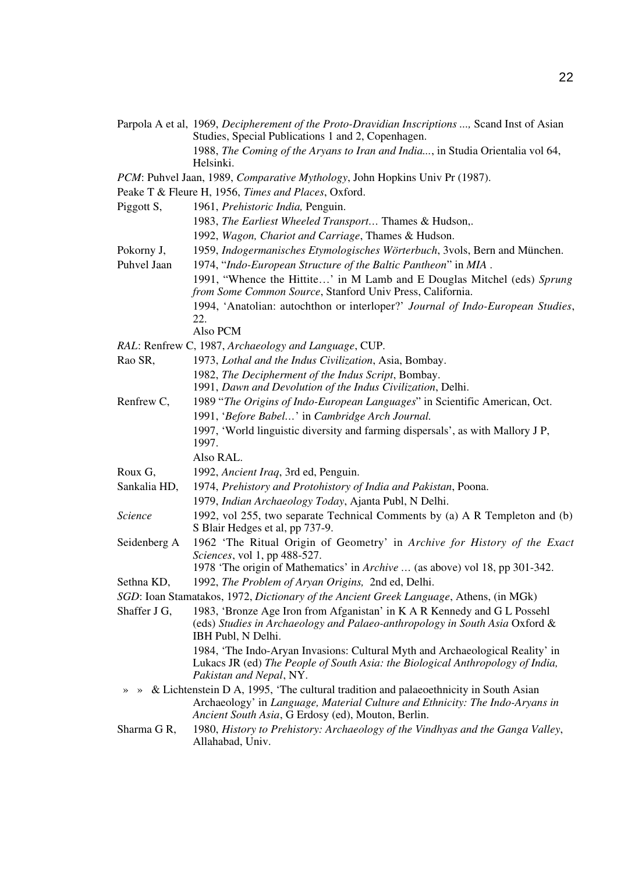Parpola A et al, 1969, *Decipherement of the Proto-Dravidian Inscriptions ...,* Scand Inst of Asian Studies, Special Publications 1 and 2, Copenhagen. 1988, *The Coming of the Aryans to Iran and India...*, in Studia Orientalia vol 64,

Helsinki.

- *PCM*: Puhvel Jaan, 1989, *Comparative Mythology*, John Hopkins Univ Pr (1987).
- Peake T & Fleure H, 1956, *Times and Places*, Oxford.
- Piggott S, 1961, *Prehistoric India,* Penguin.
	- 1983, *The Earliest Wheeled Transport…* Thames & Hudson,.
	- 1992, *Wagon, Chariot and Carriage*, Thames & Hudson.
- Pokorny J, 1959, *Indogermanisches Etymologisches Wörterbuch*, 3vols, Bern and München.
- Puhvel Jaan 1974, "*Indo-European Structure of the Baltic Pantheon*" in *MIA* . 1991, "Whence the Hittite…' in M Lamb and E Douglas Mitchel (eds) *Sprung from Some Common Source*, Stanford Univ Press, California. 1994, 'Anatolian: autochthon or interloper?' *Journal of Indo-European Studies*, 22. Also PCM
- *RAL*: Renfrew C, 1987, *Archaeology and Language*, CUP.
- Rao SR, 1973, *Lothal and the Indus Civilization*, Asia, Bombay. 1982, *The Decipherment of the Indus Script*, Bombay. 1991, *Dawn and Devolution of the Indus Civilization*, Delhi.
- Renfrew C, 1989 "*The Origins of Indo-European Languages*" in Scientific American, Oct. 1991, '*Before Babel…*' in *Cambridge Arch Journal*. 1997, 'World linguistic diversity and farming dispersals', as with Mallory J P,
	- 1997.

Also RAL.

- Roux G, 1992, *Ancient Iraq*, 3rd ed, Penguin.
- Sankalia HD, 1974, *Prehistory and Protohistory of India and Pakistan*, Poona.
- 1979, *Indian Archaeology Today*, Ajanta Publ, N Delhi.
- *Science* 1992, vol 255, two separate Technical Comments by (a) A R Templeton and (b) S Blair Hedges et al, pp 737-9.
- Seidenberg A 1962 'The Ritual Origin of Geometry' in *Archive for History of the Exact Sciences*, vol 1, pp 488-527. 1978 'The origin of Mathematics' in *Archive …* (as above) vol 18, pp 301-342.

Sethna KD, 1992, *The Problem of Aryan Origins,* 2nd ed, Delhi.

*SGD*: Ioan Stamatakos, 1972, *Dictionary of the Ancient Greek Language*, Athens, (in MGk)

Shaffer J G, 1983, 'Bronze Age Iron from Afganistan' in K A R Kennedy and G L Possehl (eds) *Studies in Archaeology and Palaeo-anthropology in South Asia* Oxford & IBH Publ, N Delhi. 1984, 'The Indo-Aryan Invasions: Cultural Myth and Archaeological Reality' in

Lukacs JR (ed) *The People of South Asia: the Biological Anthropology of India, Pakistan and Nepal*, NY.

- » » & Lichtenstein D A, 1995, 'The cultural tradition and palaeoethnicity in South Asian Archaeology' in *Language, Material Culture and Ethnicity: The Indo-Aryans in Ancient South Asia*, G Erdosy (ed), Mouton, Berlin.
- Sharma G R, 1980, *History to Prehistory: Archaeology of the Vindhyas and the Ganga Valley*, Allahabad, Univ.